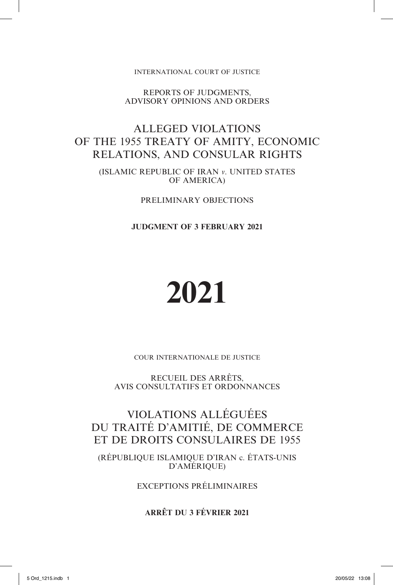INTERNATIONAL COURT OF JUSTICE

REPORTS OF JUDGMENTS, ADVISORY OPINIONS AND ORDERS

## ALLEGED VIOLATIONS OF THE 1955 TREATY OF AMITY, ECONOMIC RELATIONS, AND CONSULAR RIGHTS

(ISLAMIC REPUBLIC OF IRAN *v*. UNITED STATES OF AMERICA)

PRELIMINARY OBJECTIONS

**JUDGMENT OF 3 FEBRUARY 2021**

# **2021**

COUR INTERNATIONALE DE JUSTICE

RECUEIL DES ARRÊTS, AVIS CONSULTATIFS ET ORDONNANCES

## VIOLATIONS ALLÉGUÉES DU TRAITÉ D'AMITIÉ, DE COMMERCE ET DE DROITS CONSULAIRES DE 1955

(RÉPUBLIQUE ISLAMIQUE D'IRAN c. ÉTATS-UNIS D'AMÉRIQUE)

EXCEPTIONS PRÉLIMINAIRES

**ARRÊT DU 3 FÉVRIER 2021**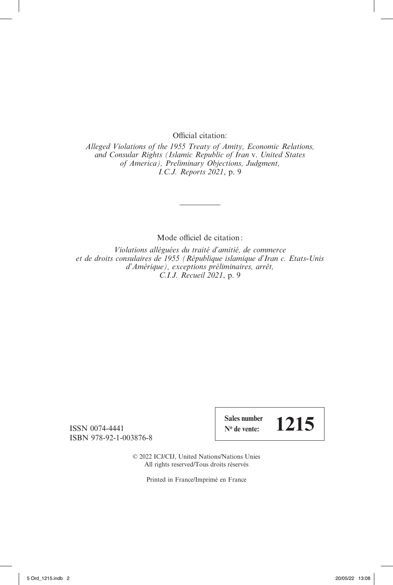Official citation:

*Alleged Violations of the 1955 Treaty of Amity, Economic Relations, and Consular Rights (Islamic Republic of Iran* v. *United States of America), Preliminary Objections, Judgment, I.C.J. Reports 2021*, p. 9

Mode officiel de citation:

*Violations alléguées du traité d'amitié, de commerce et de droits consulaires de 1955 (République islamique d'Iran c. Etats-Unis d'Amérique), exceptions préliminaires, arrêt, C.I.J. Recueil 2021*, p. 9

ISSN 0074-4441 ISBN 978-92-1-003876-8 **Sales number**  $\frac{\text{Sales number}}{\text{N}^{\text{o}} \text{ de vente:}}$  1215

© 2022 ICJ/CIJ, United Nations/Nations Unies All rights reserved/Tous droits réservés

Printed in France/Imprimé en France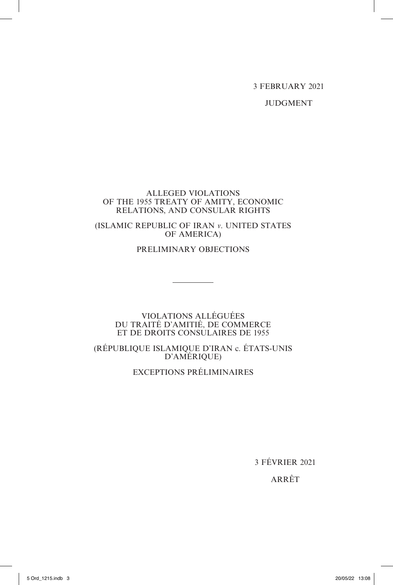3 FEBRUARY 2021

JUDGMENT

#### ALLEGED VIOLATIONS OF THE 1955 TREATY OF AMITY, ECONOMIC RELATIONS, AND CONSULAR RIGHTS

(ISLAMIC REPUBLIC OF IRAN *v*. UNITED STATES OF AMERICA)

PRELIMINARY OBJECTIONS

#### VIOLATIONS ALLÉGUÉES DU TRAITÉ D'AMITIÉ, DE COMMERCE ET DE DROITS CONSULAIRES DE 1955

(RÉPUBLIQUE ISLAMIQUE D'IRAN c. ÉTATS-UNIS D'AMÉRIQUE)

EXCEPTIONS PRÉLIMINAIRES

3 FÉVRIER 2021

ARRÊT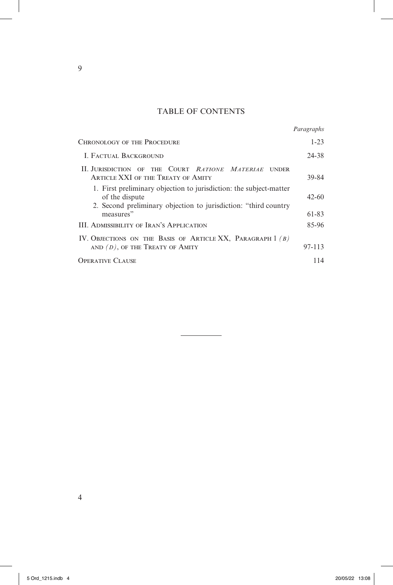### TABLE OF CONTENTS

|                                                                                                                                                          | Paragraphs |
|----------------------------------------------------------------------------------------------------------------------------------------------------------|------------|
| <b>CHRONOLOGY OF THE PROCEDURE</b>                                                                                                                       | $1 - 23$   |
| <b>I. FACTUAL BACKGROUND</b>                                                                                                                             | 24-38      |
| II. JURISDICTION OF THE COURT RATIONE MATERIAE<br><b>UNDER</b><br>ARTICLE XXI OF THE TREATY OF AMITY                                                     | 39-84      |
| 1. First preliminary objection to jurisdiction: the subject-matter<br>of the dispute<br>2. Second preliminary objection to jurisdiction: "third country" | $42 - 60$  |
| measures"                                                                                                                                                | 61-83      |
| <b>III. ADMISSIBILITY OF IRAN'S APPLICATION</b>                                                                                                          | 85-96      |
| IV. OBJECTIONS ON THE BASIS OF ARTICLE XX, PARAGRAPH $1(B)$                                                                                              |            |
| AND $(D)$ , OF THE TREATY OF AMITY                                                                                                                       | 97-113     |
| OPERATIVE CLAUSE                                                                                                                                         | 114        |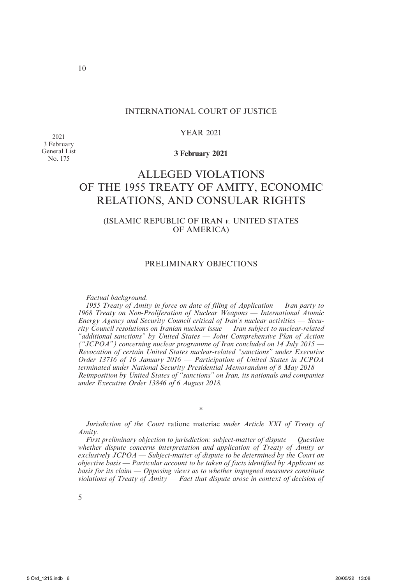#### INTERNATIONAL COURT OF JUSTICE

#### YEAR 2021

2021 3 February General List No. 175

#### **3 February 2021**

## ALLEGED VIOLATIONS OF THE 1955 TREATY OF AMITY, ECONOMIC RELATIONS, AND CONSULAR RIGHTS

#### (ISLAMIC REPUBLIC OF IRAN *v.* UNITED STATES OF AMERICA)

#### PRELIMINARY OBJECTIONS

*Factual background.*

*1955 Treaty of Amity in force on date of filing of Application — Iran party to 1968 Treaty on Non-Proliferation of Nuclear Weapons — International Atomic Energy Agency and Security Council critical of Iran's nuclear activities — Security Council resolutions on Iranian nuclear issue — Iran subject to nuclear-related "additional sanctions" by United States — Joint Comprehensive Plan of Action ("JCPOA") concerning nuclear programme of Iran concluded on 14 July 2015 — Revocation of certain United States nuclear-related "sanctions" under Executive Order 13716 of 16 January 2016 — Participation of United States in JCPOA terminated under National Security Presidential Memorandum of 8 May 2018 — Reimposition by United States of "sanctions" on Iran, its nationals and companies under Executive Order 13846 of 6 August 2018.*

*Jurisdiction of the Court* ratione materiae *under Article XXI of Treaty of Amity.*

\*

*First preliminary objection to jurisdiction: subject-matter of dispute — Question whether dispute concerns interpretation and application of Treaty of Amity or exclusively JCPOA — Subject-matter of dispute to be determined by the Court on objective basis — Particular account to be taken of facts identified by Applicant as basis for its claim — Opposing views as to whether impugned measures constitute violations of Treaty of Amity — Fact that dispute arose in context of decision of*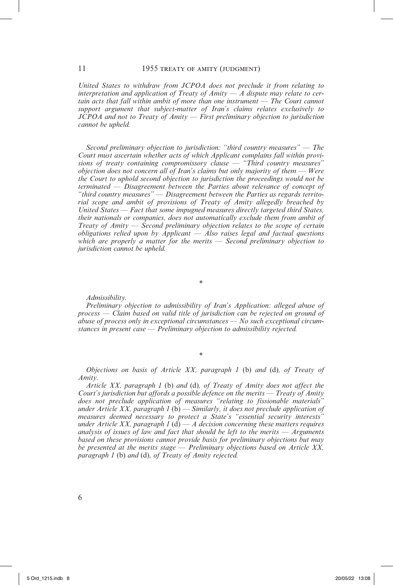*United States to withdraw from JCPOA does not preclude it from relating to interpretation and application of Treaty of Amity — A dispute may relate to certain acts that fall within ambit of more than one instrument — The Court cannot support argument that subject-matter of Iran's claims relates exclusively to JCPOA and not to Treaty of Amity — First preliminary objection to jurisdiction cannot be upheld.*

*Second preliminary objection to jurisdiction: "third country measures" — The Court must ascertain whether acts of which Applicant complains fall within provisions of treaty containing compromissory clause — "Third country measures" objection does not concern all of Iran's claims but only majority of them — Were the Court to uphold second objection to jurisdiction the proceedings would not be terminated — Disagreement between the Parties about relevance of concept of "third country measures" — Disagreement between the Parties as regards territorial scope and ambit of provisions of Treaty of Amity allegedly breached by United States — Fact that some impugned measures directly targeted third States, their nationals or companies, does not automatically exclude them from ambit of Treaty of Amity — Second preliminary objection relates to the scope of certain obligations relied upon by Applicant — Also raises legal and factual questions which are properly a matter for the merits — Second preliminary objection to jurisdiction cannot be upheld.*

*Admissibility.*

*Preliminary objection to admissibility of Iran's Application: alleged abuse of process — Claim based on valid title of jurisdiction can be rejected on ground of abuse of process only in exceptional circumstances — No such exceptional circumstances in present case — Preliminary objection to admissibility rejected.*

\*

*Objections on basis of Article XX, paragraph 1* (b) *and* (d)*, of Treaty of Amity.*

\*

*Article XX, paragraph 1* (b) *and* (d)*, of Treaty of Amity does not affect the Court's jurisdiction but affords a possible defence on the merits — Treaty of Amity does not preclude application of measures "relating to fissionable materials" under Article XX, paragraph 1* (b) *— Similarly, it does not preclude application of measures deemed necessary to protect a State's "essential security interests" under Article XX, paragraph 1* (d) *— A decision concerning these matters requires analysis of issues of law and fact that should be left to the merits — Arguments based on these provisions cannot provide basis for preliminary objections but may be presented at the merits stage — Preliminary objections based on Article XX, paragraph 1* (b) *and* (d)*, of Treaty of Amity rejected.*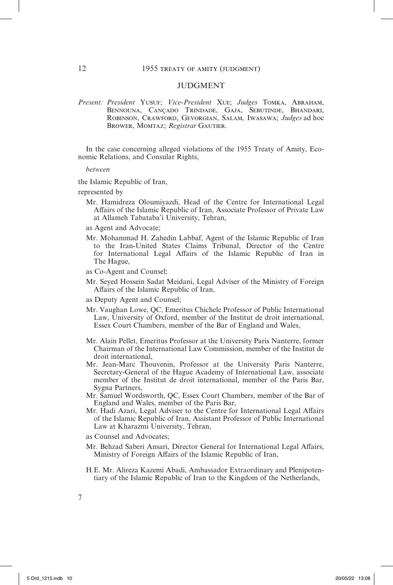#### JUDGMENT

*Present: President* Yusuf; *Vice-President* Xue; *Judges* Tomka, Abraham, Bennouna, Cançado Trindade, Gaja, Sebutinde, Bhandari, Robinson, Crawford, Gevorgian, Salam, Iwasawa; *Judges* ad hoc Brower, Momtaz; *Registrar* Gautier.

In the case concerning alleged violations of the 1955 Treaty of Amity, Economic Relations, and Consular Rights,

*between*

the Islamic Republic of Iran,

represented by

- Mr. Hamidreza Oloumiyazdi, Head of the Centre for International Legal Affairs of the Islamic Republic of Iran, Associate Professor of Private Law at Allameh Tabataba'i University, Tehran,
- as Agent and Advocate;
- Mr. Mohammad H. Zahedin Labbaf, Agent of the Islamic Republic of Iran to the Iran-United States Claims Tribunal, Director of the Centre for International Legal Affairs of the Islamic Republic of Iran in The Hague,
- as Co-Agent and Counsel;
- Mr. Seyed Hossein Sadat Meidani, Legal Adviser of the Ministry of Foreign Affairs of the Islamic Republic of Iran,
- as Deputy Agent and Counsel;
- Mr. Vaughan Lowe, QC, Emeritus Chichele Professor of Public International Law, University of Oxford, member of the Institut de droit international, Essex Court Chambers, member of the Bar of England and Wales,
- Mr. Alain Pellet, Emeritus Professor at the University Paris Nanterre, former Chairman of the International Law Commission, member of the Institut de droit international,
- Mr. Jean-Marc Thouvenin, Professor at the University Paris Nanterre, Secretary-General of the Hague Academy of International Law, associate member of the Institut de droit international, member of the Paris Bar, Sygna Partners,
- Mr. Samuel Wordsworth, QC, Essex Court Chambers, member of the Bar of England and Wales, member of the Paris Bar,
- Mr. Hadi Azari, Legal Adviser to the Centre for International Legal Affairs of the Islamic Republic of Iran, Assistant Professor of Public International Law at Kharazmi University, Tehran,
- as Counsel and Advocates;
- Mr. Behzad Saberi Ansari, Director General for International Legal Affairs, Ministry of Foreign Affairs of the Islamic Republic of Iran,
- H.E. Mr. Alireza Kazemi Abadi, Ambassador Extraordinary and Plenipotentiary of the Islamic Republic of Iran to the Kingdom of the Netherlands,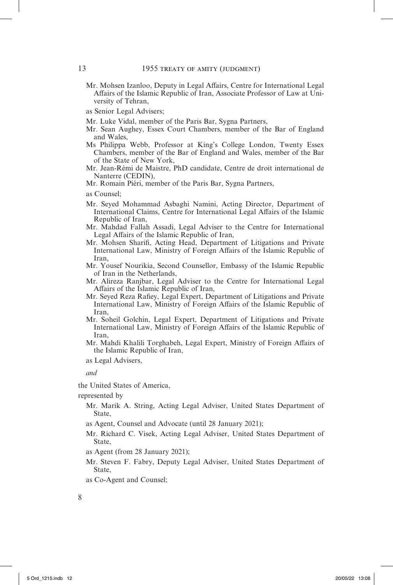- Mr. Mohsen Izanloo, Deputy in Legal Affairs, Centre for International Legal Affairs of the Islamic Republic of Iran, Associate Professor of Law at University of Tehran,
- as Senior Legal Advisers;
- Mr. Luke Vidal, member of the Paris Bar, Sygna Partners,
- Mr. Sean Aughey, Essex Court Chambers, member of the Bar of England and Wales,
- Ms Philippa Webb, Professor at King's College London, Twenty Essex Chambers, member of the Bar of England and Wales, member of the Bar of the State of New York,
- Mr. Jean-Rémi de Maistre, PhD candidate, Centre de droit international de Nanterre (CEDIN),
- Mr. Romain Piéri, member of the Paris Bar, Sygna Partners,

- Mr. Seyed Mohammad Asbaghi Namini, Acting Director, Department of International Claims, Centre for International Legal Affairs of the Islamic Republic of Iran,
- Mr. Mahdad Fallah Assadi, Legal Adviser to the Centre for International Legal Affairs of the Islamic Republic of Iran,
- Mr. Mohsen Sharifi, Acting Head, Department of Litigations and Private International Law, Ministry of Foreign Affairs of the Islamic Republic of Iran,
- Mr. Yousef Nourikia, Second Counsellor, Embassy of the Islamic Republic of Iran in the Netherlands,
- Mr. Alireza Ranjbar, Legal Adviser to the Centre for International Legal Affairs of the Islamic Republic of Iran,
- Mr. Seyed Reza Rafiey, Legal Expert, Department of Litigations and Private International Law, Ministry of Foreign Affairs of the Islamic Republic of Iran,
- Mr. Soheil Golchin, Legal Expert, Department of Litigations and Private International Law, Ministry of Foreign Affairs of the Islamic Republic of Iran,
- Mr. Mahdi Khalili Torghabeh, Legal Expert, Ministry of Foreign Affairs of the Islamic Republic of Iran,

as Legal Advisers,

*and*

- the United States of America,
- represented by
	- Mr. Marik A. String, Acting Legal Adviser, United States Department of State,
	- as Agent, Counsel and Advocate (until 28 January 2021);
	- Mr. Richard C. Visek, Acting Legal Adviser, United States Department of State,
	- as Agent (from 28 January 2021);
	- Mr. Steven F. Fabry, Deputy Legal Adviser, United States Department of State,
	- as Co-Agent and Counsel;

as Counsel;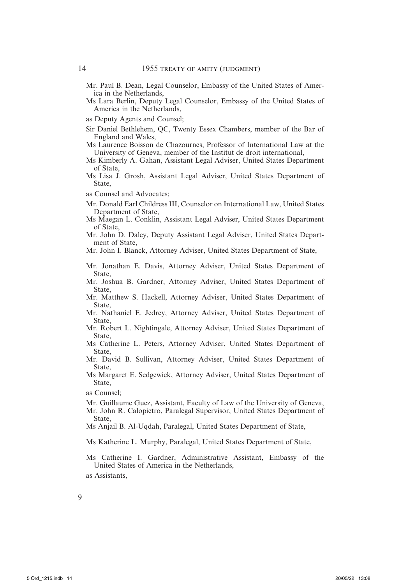- Mr. Paul B. Dean, Legal Counselor, Embassy of the United States of America in the Netherlands,
- Ms Lara Berlin, Deputy Legal Counselor, Embassy of the United States of America in the Netherlands,
- as Deputy Agents and Counsel;
- Sir Daniel Bethlehem, QC, Twenty Essex Chambers, member of the Bar of England and Wales,
- Ms Laurence Boisson de Chazournes, Professor of International Law at the University of Geneva, member of the Institut de droit international,
- Ms Kimberly A. Gahan, Assistant Legal Adviser, United States Department of State,
- Ms Lisa J. Grosh, Assistant Legal Adviser, United States Department of State,
- as Counsel and Advocates;
- Mr. Donald Earl Childress III, Counselor on International Law, United States Department of State,
- Ms Maegan L. Conklin, Assistant Legal Adviser, United States Department of State,
- Mr. John D. Daley, Deputy Assistant Legal Adviser, United States Department of State,

Mr. John I. Blanck, Attorney Adviser, United States Department of State,

- Mr. Jonathan E. Davis, Attorney Adviser, United States Department of State,
- Mr. Joshua B. Gardner, Attorney Adviser, United States Department of State,
- Mr. Matthew S. Hackell, Attorney Adviser, United States Department of State,
- Mr. Nathaniel E. Jedrey, Attorney Adviser, United States Department of State,
- Mr. Robert L. Nightingale, Attorney Adviser, United States Department of State,
- Ms Catherine L. Peters, Attorney Adviser, United States Department of State,
- Mr. David B. Sullivan, Attorney Adviser, United States Department of State,
- Ms Margaret E. Sedgewick, Attorney Adviser, United States Department of State,

- Mr. Guillaume Guez, Assistant, Faculty of Law of the University of Geneva,
- Mr. John R. Calopietro, Paralegal Supervisor, United States Department of State,
- Ms Anjail B. Al-Uqdah, Paralegal, United States Department of State,
- Ms Katherine L. Murphy, Paralegal, United States Department of State,
- Ms Catherine I. Gardner, Administrative Assistant, Embassy of the United States of America in the Netherlands,

as Counsel;

as Assistants,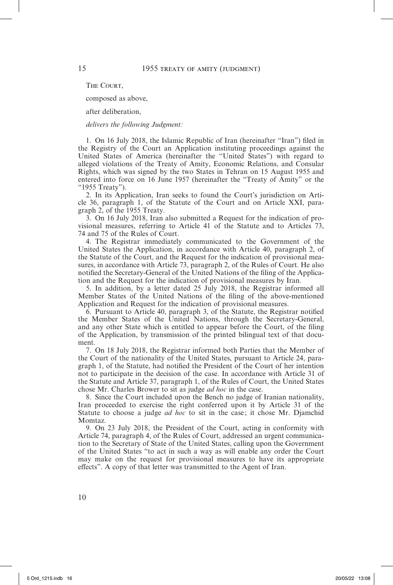THE COURT.

composed as above,

after deliberation,

*delivers the following Judgment:*

1. On 16 July 2018, the Islamic Republic of Iran (hereinafter "Iran") filed in the Registry of the Court an Application instituting proceedings against the United States of America (hereinafter the "United States") with regard to alleged violations of the Treaty of Amity, Economic Relations, and Consular Rights, which was signed by the two States in Tehran on 15 August 1955 and entered into force on 16 June 1957 (hereinafter the "Treaty of Amity" or the "1955 Treaty").

2. In its Application, Iran seeks to found the Court's jurisdiction on Article 36, paragraph 1, of the Statute of the Court and on Article XXI, paragraph 2, of the 1955 Treaty.

3. On 16 July 2018, Iran also submitted a Request for the indication of provisional measures, referring to Article 41 of the Statute and to Articles 73, 74 and 75 of the Rules of Court.

4. The Registrar immediately communicated to the Government of the United States the Application, in accordance with Article 40, paragraph 2, of the Statute of the Court, and the Request for the indication of provisional measures, in accordance with Article 73, paragraph 2, of the Rules of Court. He also notified the Secretary-General of the United Nations of the filing of the Application and the Request for the indication of provisional measures by Iran.

5. In addition, by a letter dated 25 July 2018, the Registrar informed all Member States of the United Nations of the filing of the above-mentioned Application and Request for the indication of provisional measures.

6. Pursuant to Article 40, paragraph 3, of the Statute, the Registrar notified the Member States of the United Nations, through the Secretary-General, and any other State which is entitled to appear before the Court, of the filing of the Application, by transmission of the printed bilingual text of that document.

7. On 18 July 2018, the Registrar informed both Parties that the Member of the Court of the nationality of the United States, pursuant to Article 24, paragraph 1, of the Statute, had notified the President of the Court of her intention not to participate in the decision of the case. In accordance with Article 31 of the Statute and Article 37, paragraph 1, of the Rules of Court, the United States chose Mr. Charles Brower to sit as judge *ad hoc* in the case.

8. Since the Court included upon the Bench no judge of Iranian nationality, Iran proceeded to exercise the right conferred upon it by Article 31 of the Statute to choose a judge *ad hoc* to sit in the case; it chose Mr. Djamchid Momtaz.

9. On 23 July 2018, the President of the Court, acting in conformity with Article 74, paragraph 4, of the Rules of Court, addressed an urgent communication to the Secretary of State of the United States, calling upon the Government of the United States "to act in such a way as will enable any order the Court may make on the request for provisional measures to have its appropriate effects". A copy of that letter was transmitted to the Agent of Iran.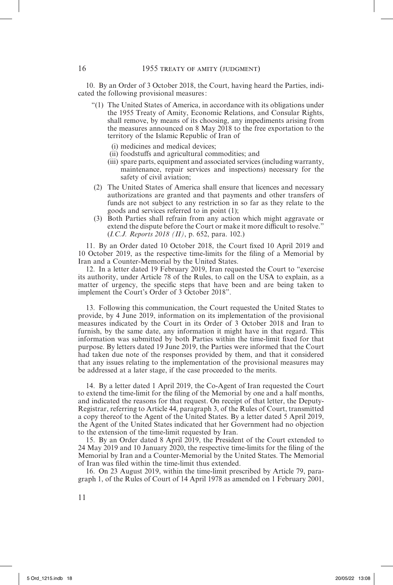10. By an Order of 3 October 2018, the Court, having heard the Parties, indicated the following provisional measures:

- "(1) The United States of America, in accordance with its obligations under the 1955 Treaty of Amity, Economic Relations, and Consular Rights, shall remove, by means of its choosing, any impediments arising from the measures announced on 8 May 2018 to the free exportation to the territory of the Islamic Republic of Iran of
	- (i) medicines and medical devices;
	- (ii) foodstuffs and agricultural commodities; and
	- (iii) spare parts, equipment and associated services (including warranty, maintenance, repair services and inspections) necessary for the safety of civil aviation;
- (2) The United States of America shall ensure that licences and necessary authorizations are granted and that payments and other transfers of funds are not subject to any restriction in so far as they relate to the goods and services referred to in point (1);
- (3) Both Parties shall refrain from any action which might aggravate or extend the dispute before the Court or make it more difficult to resolve." (*I.C.J. Reports 2018 (II)*, p. 652, para. 102.)

11. By an Order dated 10 October 2018, the Court fixed 10 April 2019 and 10 October 2019, as the respective time-limits for the filing of a Memorial by Iran and a Counter-Memorial by the United States.

12. In a letter dated 19 February 2019, Iran requested the Court to "exercise its authority, under Article 78 of the Rules, to call on the USA to explain, as a matter of urgency, the specific steps that have been and are being taken to implement the Court's Order of 3 October 2018".

13. Following this communication, the Court requested the United States to provide, by 4 June 2019, information on its implementation of the provisional measures indicated by the Court in its Order of 3 October 2018 and Iran to furnish, by the same date, any information it might have in that regard. This information was submitted by both Parties within the time-limit fixed for that purpose. By letters dated 19 June 2019, the Parties were informed that the Court had taken due note of the responses provided by them, and that it considered that any issues relating to the implementation of the provisional measures may be addressed at a later stage, if the case proceeded to the merits.

14. By a letter dated 1 April 2019, the Co-Agent of Iran requested the Court to extend the time-limit for the filing of the Memorial by one and a half months, and indicated the reasons for that request. On receipt of that letter, the Deputy-Registrar, referring to Article 44, paragraph 3, of the Rules of Court, transmitted a copy thereof to the Agent of the United States. By a letter dated 5 April 2019, the Agent of the United States indicated that her Government had no objection to the extension of the time-limit requested by Iran.

15. By an Order dated 8 April 2019, the President of the Court extended to 24 May 2019 and 10 January 2020, the respective time-limits for the filing of the Memorial by Iran and a Counter-Memorial by the United States. The Memorial of Iran was filed within the time-limit thus extended.

16. On 23 August 2019, within the time-limit prescribed by Article 79, paragraph 1, of the Rules of Court of 14 April 1978 as amended on 1 February 2001,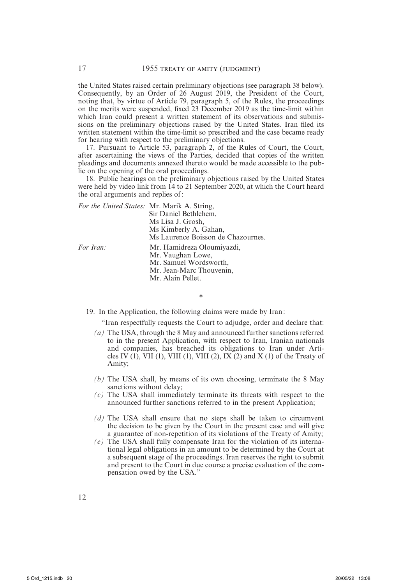the United States raised certain preliminary objections (see paragraph 38 below). Consequently, by an Order of 26 August 2019, the President of the Court, noting that, by virtue of Article 79, paragraph 5, of the Rules, the proceedings on the merits were suspended, fixed 23 December 2019 as the time-limit within which Iran could present a written statement of its observations and submissions on the preliminary objections raised by the United States. Iran filed its written statement within the time-limit so prescribed and the case became ready for hearing with respect to the preliminary objections.

17. Pursuant to Article 53, paragraph 2, of the Rules of Court, the Court, after ascertaining the views of the Parties, decided that copies of the written pleadings and documents annexed thereto would be made accessible to the public on the opening of the oral proceedings.

18. Public hearings on the preliminary objections raised by the United States were held by video link from 14 to 21 September 2020, at which the Court heard the oral arguments and replies of:

| For the United States: Mr. Marik A. String, |                                    |
|---------------------------------------------|------------------------------------|
|                                             | Sir Daniel Bethlehem.              |
|                                             | Ms Lisa J. Grosh,                  |
|                                             | Ms Kimberly A. Gahan,              |
|                                             | Ms Laurence Boisson de Chazournes. |
| For Iran:                                   | Mr. Hamidreza Oloumiyazdi,         |
|                                             | Mr. Vaughan Lowe,                  |
|                                             | Mr. Samuel Wordsworth,             |
|                                             | Mr. Jean-Marc Thouvenin,           |
|                                             | Mr. Alain Pellet.                  |
|                                             |                                    |

19. In the Application, the following claims were made by Iran:

\*

"Iran respectfully requests the Court to adjudge, order and declare that:

- *(a)* The USA, through the 8 May and announced further sanctions referred to in the present Application, with respect to Iran, Iranian nationals and companies, has breached its obligations to Iran under Articles IV (1), VII (1), VIII (1), VIII (2), IX (2) and X (1) of the Treaty of Amity;
- *(b)* The USA shall, by means of its own choosing, terminate the 8 May sanctions without delay;
- *(c)* The USA shall immediately terminate its threats with respect to the announced further sanctions referred to in the present Application;
- *(d)* The USA shall ensure that no steps shall be taken to circumvent the decision to be given by the Court in the present case and will give a guarantee of non-repetition of its violations of the Treaty of Amity;
- *(e)* The USA shall fully compensate Iran for the violation of its international legal obligations in an amount to be determined by the Court at a subsequent stage of the proceedings. Iran reserves the right to submit and present to the Court in due course a precise evaluation of the compensation owed by the USA."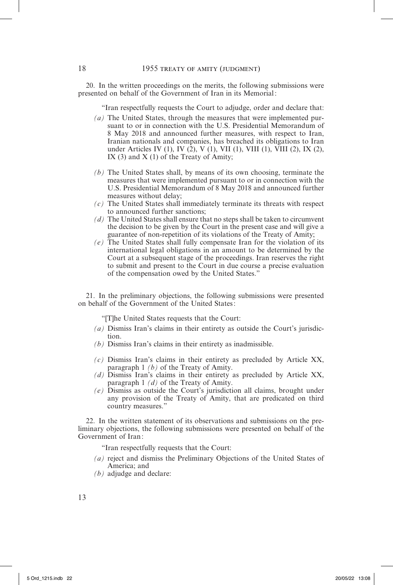20. In the written proceedings on the merits, the following submissions were presented on behalf of the Government of Iran in its Memorial:

"Iran respectfully requests the Court to adjudge, order and declare that:

- *(a)* The United States, through the measures that were implemented pursuant to or in connection with the U.S. Presidential Memorandum of 8 May 2018 and announced further measures, with respect to Iran, Iranian nationals and companies, has breached its obligations to Iran under Articles IV (1), IV (2), V (1), VII (1), VIII (1), VIII (2), IX (2), IX (3) and  $X(1)$  of the Treaty of Amity;
- *(b)* The United States shall, by means of its own choosing, terminate the measures that were implemented pursuant to or in connection with the U.S. Presidential Memorandum of 8 May 2018 and announced further measures without delay;
- *(c)* The United States shall immediately terminate its threats with respect to announced further sanctions;
- *(d)* The United States shall ensure that no steps shall be taken to circumvent the decision to be given by the Court in the present case and will give a guarantee of non-repetition of its violations of the Treaty of Amity;
- *(e)* The United States shall fully compensate Iran for the violation of its international legal obligations in an amount to be determined by the Court at a subsequent stage of the proceedings. Iran reserves the right to submit and present to the Court in due course a precise evaluation of the compensation owed by the United States."

21. In the preliminary objections, the following submissions were presented on behalf of the Government of the United States:

"[T]he United States requests that the Court:

- *(a)* Dismiss Iran's claims in their entirety as outside the Court's jurisdiction.
- *(b)* Dismiss Iran's claims in their entirety as inadmissible.
- *(c)* Dismiss Iran's claims in their entirety as precluded by Article XX, paragraph 1 *(b)* of the Treaty of Amity.
- *(d)* Dismiss Iran's claims in their entirety as precluded by Article XX, paragraph 1 *(d)* of the Treaty of Amity.
- *(e)* Dismiss as outside the Court's jurisdiction all claims, brought under any provision of the Treaty of Amity, that are predicated on third country measures."

22. In the written statement of its observations and submissions on the preliminary objections, the following submissions were presented on behalf of the Government of Iran:

"Iran respectfully requests that the Court:

- *(a)* reject and dismiss the Preliminary Objections of the United States of America; and
- *(b)* adjudge and declare: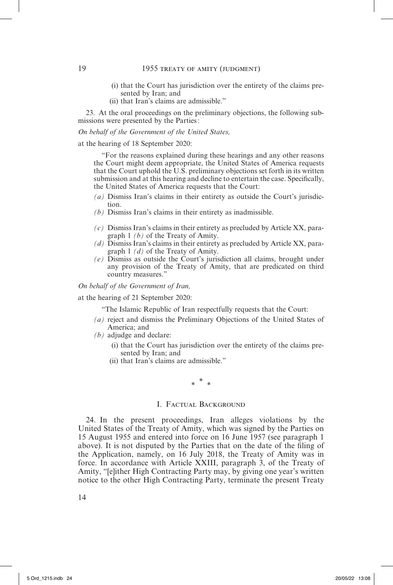- (i) that the Court has jurisdiction over the entirety of the claims presented by Iran; and
- (ii) that Iran's claims are admissible."

23. At the oral proceedings on the preliminary objections, the following submissions were presented by the Parties:

#### *On behalf of the Government of the United States,*

at the hearing of 18 September 2020:

"For the reasons explained during these hearings and any other reasons the Court might deem appropriate, the United States of America requests that the Court uphold the U.S. preliminary objections set forth in its written submission and at this hearing and decline to entertain the case. Specifically, the United States of America requests that the Court:

- *(a)* Dismiss Iran's claims in their entirety as outside the Court's jurisdiction.
- *(b)* Dismiss Iran's claims in their entirety as inadmissible.
- *(c)* Dismiss Iran's claims in their entirety as precluded by Article XX, paragraph 1 *(b)* of the Treaty of Amity.
- *(d)* Dismiss Iran's claims in their entirety as precluded by Article XX, paragraph 1 *(d)* of the Treaty of Amity.
- *(e)* Dismiss as outside the Court's jurisdiction all claims, brought under any provision of the Treaty of Amity, that are predicated on third country measures."

*On behalf of the Government of Iran,*

at the hearing of 21 September 2020:

"The Islamic Republic of Iran respectfully requests that the Court:

- *(a)* reject and dismiss the Preliminary Objections of the United States of America; and
- *(b)* adjudge and declare:
	- (i) that the Court has jurisdiction over the entirety of the claims presented by Iran; and
	- (ii) that Iran's claims are admissible."

\* \* \*

#### I. FACTUAL BACKGROUND

24. In the present proceedings, Iran alleges violations by the United States of the Treaty of Amity, which was signed by the Parties on 15 August 1955 and entered into force on 16 June 1957 (see paragraph 1 above). It is not disputed by the Parties that on the date of the filing of the Application, namely, on 16 July 2018, the Treaty of Amity was in force. In accordance with Article XXIII, paragraph 3, of the Treaty of Amity, "[e]ither High Contracting Party may, by giving one year's written notice to the other High Contracting Party, terminate the present Treaty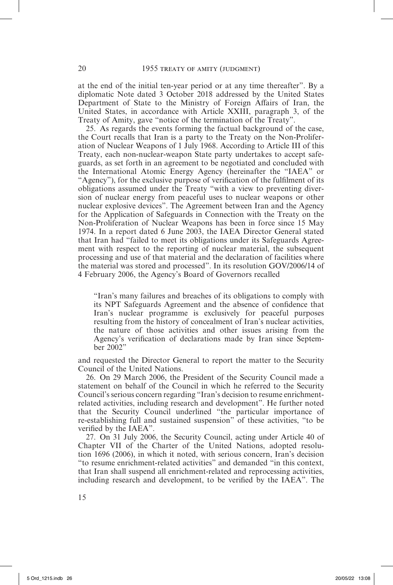at the end of the initial ten-year period or at any time thereafter". By a diplomatic Note dated 3 October 2018 addressed by the United States Department of State to the Ministry of Foreign Affairs of Iran, the United States, in accordance with Article XXIII, paragraph 3, of the Treaty of Amity, gave "notice of the termination of the Treaty".

25. As regards the events forming the factual background of the case, the Court recalls that Iran is a party to the Treaty on the Non-Proliferation of Nuclear Weapons of 1 July 1968. According to Article III of this Treaty, each non-nuclear-weapon State party undertakes to accept safeguards, as set forth in an agreement to be negotiated and concluded with the International Atomic Energy Agency (hereinafter the "IAEA" or "Agency"), for the exclusive purpose of verification of the fulfilment of its obligations assumed under the Treaty "with a view to preventing diversion of nuclear energy from peaceful uses to nuclear weapons or other nuclear explosive devices". The Agreement between Iran and the Agency for the Application of Safeguards in Connection with the Treaty on the Non-Proliferation of Nuclear Weapons has been in force since 15 May 1974. In a report dated 6 June 2003, the IAEA Director General stated that Iran had "failed to meet its obligations under its Safeguards Agreement with respect to the reporting of nuclear material, the subsequent processing and use of that material and the declaration of facilities where the material was stored and processed". In its resolution GOV/2006/14 of 4 February 2006, the Agency's Board of Governors recalled

"Iran's many failures and breaches of its obligations to comply with its NPT Safeguards Agreement and the absence of confidence that Iran's nuclear programme is exclusively for peaceful purposes resulting from the history of concealment of Iran's nuclear activities, the nature of those activities and other issues arising from the Agency's verification of declarations made by Iran since September 2002"

and requested the Director General to report the matter to the Security Council of the United Nations.

26. On 29 March 2006, the President of the Security Council made a statement on behalf of the Council in which he referred to the Security Council's serious concern regarding "Iran's decision to resume enrichmentrelated activities, including research and development". He further noted that the Security Council underlined "the particular importance of re-establishing full and sustained suspension" of these activities, "to be verified by the IAEA".

27. On 31 July 2006, the Security Council, acting under Article 40 of Chapter VII of the Charter of the United Nations, adopted resolution 1696 (2006), in which it noted, with serious concern, Iran's decision "to resume enrichment-related activities" and demanded "in this context, that Iran shall suspend all enrichment-related and reprocessing activities, including research and development, to be verified by the IAEA". The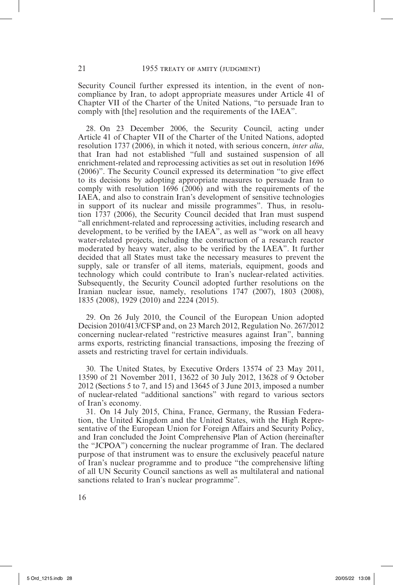Security Council further expressed its intention, in the event of noncompliance by Iran, to adopt appropriate measures under Article 41 of Chapter VII of the Charter of the United Nations, "to persuade Iran to comply with [the] resolution and the requirements of the IAEA".

28. On 23 December 2006, the Security Council, acting under Article 41 of Chapter VII of the Charter of the United Nations, adopted resolution 1737 (2006), in which it noted, with serious concern, *inter alia*, that Iran had not established "full and sustained suspension of all enrichment-related and reprocessing activities as set out in resolution 1696 (2006)". The Security Council expressed its determination "to give effect to its decisions by adopting appropriate measures to persuade Iran to comply with resolution 1696 (2006) and with the requirements of the IAEA, and also to constrain Iran's development of sensitive technologies in support of its nuclear and missile programmes". Thus, in resolution 1737 (2006), the Security Council decided that Iran must suspend "all enrichment-related and reprocessing activities, including research and development, to be verified by the IAEA", as well as "work on all heavy water-related projects, including the construction of a research reactor moderated by heavy water, also to be verified by the IAEA". It further decided that all States must take the necessary measures to prevent the supply, sale or transfer of all items, materials, equipment, goods and technology which could contribute to Iran's nuclear-related activities. Subsequently, the Security Council adopted further resolutions on the Iranian nuclear issue, namely, resolutions 1747 (2007), 1803 (2008), 1835 (2008), 1929 (2010) and 2224 (2015).

29. On 26 July 2010, the Council of the European Union adopted Decision 2010/413/CFSP and, on 23 March 2012, Regulation No. 267/2012 concerning nuclear-related "restrictive measures against Iran", banning arms exports, restricting financial transactions, imposing the freezing of assets and restricting travel for certain individuals.

30. The United States, by Executive Orders 13574 of 23 May 2011, 13590 of 21 November 2011, 13622 of 30 July 2012, 13628 of 9 October 2012 (Sections 5 to 7, and 15) and 13645 of 3 June 2013, imposed a number of nuclear-related "additional sanctions" with regard to various sectors of Iran's economy.

31. On 14 July 2015, China, France, Germany, the Russian Federation, the United Kingdom and the United States, with the High Representative of the European Union for Foreign Affairs and Security Policy, and Iran concluded the Joint Comprehensive Plan of Action (hereinafter the "JCPOA") concerning the nuclear programme of Iran. The declared purpose of that instrument was to ensure the exclusively peaceful nature of Iran's nuclear programme and to produce "the comprehensive lifting of all UN Security Council sanctions as well as multilateral and national sanctions related to Iran's nuclear programme".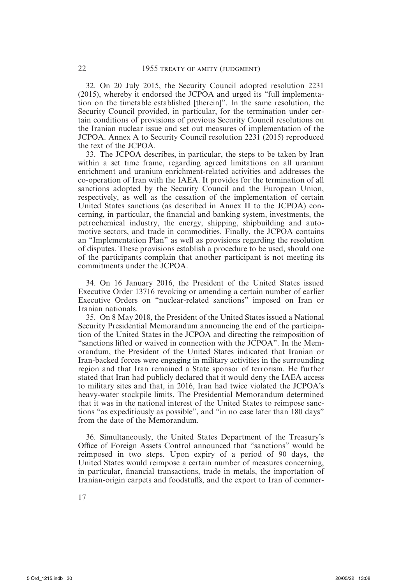32. On 20 July 2015, the Security Council adopted resolution 2231 (2015), whereby it endorsed the JCPOA and urged its "full implementation on the timetable established [therein]". In the same resolution, the Security Council provided, in particular, for the termination under certain conditions of provisions of previous Security Council resolutions on the Iranian nuclear issue and set out measures of implementation of the JCPOA. Annex A to Security Council resolution 2231 (2015) reproduced the text of the JCPOA.

33. The JCPOA describes, in particular, the steps to be taken by Iran within a set time frame, regarding agreed limitations on all uranium enrichment and uranium enrichment-related activities and addresses the co-operation of Iran with the IAEA. It provides for the termination of all sanctions adopted by the Security Council and the European Union, respectively, as well as the cessation of the implementation of certain United States sanctions (as described in Annex II to the JCPOA) concerning, in particular, the financial and banking system, investments, the petrochemical industry, the energy, shipping, shipbuilding and automotive sectors, and trade in commodities. Finally, the JCPOA contains an "Implementation Plan" as well as provisions regarding the resolution of disputes. These provisions establish a procedure to be used, should one of the participants complain that another participant is not meeting its commitments under the JCPOA.

34. On 16 January 2016, the President of the United States issued Executive Order 13716 revoking or amending a certain number of earlier Executive Orders on "nuclear-related sanctions" imposed on Iran or Iranian nationals.

35. On 8 May 2018, the President of the United States issued a National Security Presidential Memorandum announcing the end of the participation of the United States in the JCPOA and directing the reimposition of "sanctions lifted or waived in connection with the JCPOA". In the Memorandum, the President of the United States indicated that Iranian or Iran-backed forces were engaging in military activities in the surrounding region and that Iran remained a State sponsor of terrorism. He further stated that Iran had publicly declared that it would deny the IAEA access to military sites and that, in 2016, Iran had twice violated the JCPOA's heavy-water stockpile limits. The Presidential Memorandum determined that it was in the national interest of the United States to reimpose sanctions "as expeditiously as possible", and "in no case later than 180 days" from the date of the Memorandum.

36. Simultaneously, the United States Department of the Treasury's Office of Foreign Assets Control announced that "sanctions" would be reimposed in two steps. Upon expiry of a period of 90 days, the United States would reimpose a certain number of measures concerning, in particular, financial transactions, trade in metals, the importation of Iranian-origin carpets and foodstuffs, and the export to Iran of commer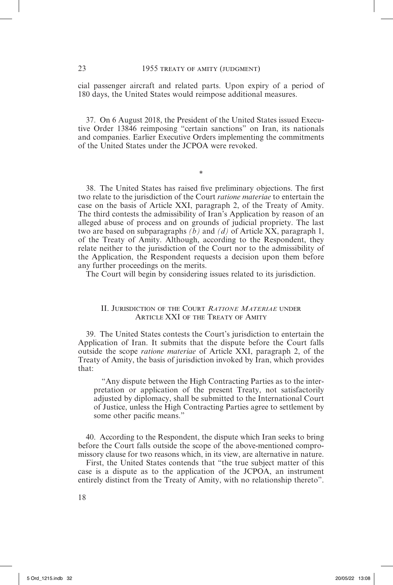cial passenger aircraft and related parts. Upon expiry of a period of 180 days, the United States would reimpose additional measures.

37. On 6 August 2018, the President of the United States issued Executive Order 13846 reimposing "certain sanctions" on Iran, its nationals and companies. Earlier Executive Orders implementing the commitments of the United States under the JCPOA were revoked.

\*

38. The United States has raised five preliminary objections. The first two relate to the jurisdiction of the Court *ratione materiae* to entertain the case on the basis of Article XXI, paragraph 2, of the Treaty of Amity. The third contests the admissibility of Iran's Application by reason of an alleged abuse of process and on grounds of judicial propriety. The last two are based on subparagraphs  $(b)$  and  $(d)$  of Article XX, paragraph 1, of the Treaty of Amity. Although, according to the Respondent, they relate neither to the jurisdiction of the Court nor to the admissibility of the Application, the Respondent requests a decision upon them before any further proceedings on the merits.

The Court will begin by considering issues related to its jurisdiction.

#### II. Jurisdiction of the Court *Ratione Materiae* under Article XXI of the Treaty of Amity

39. The United States contests the Court's jurisdiction to entertain the Application of Iran. It submits that the dispute before the Court falls outside the scope *ratione materiae* of Article XXI, paragraph 2, of the Treaty of Amity, the basis of jurisdiction invoked by Iran, which provides that:

"Any dispute between the High Contracting Parties as to the interpretation or application of the present Treaty, not satisfactorily adjusted by diplomacy, shall be submitted to the International Court of Justice, unless the High Contracting Parties agree to settlement by some other pacific means."

40. According to the Respondent, the dispute which Iran seeks to bring before the Court falls outside the scope of the above-mentioned compromissory clause for two reasons which, in its view, are alternative in nature.

First, the United States contends that "the true subject matter of this case is a dispute as to the application of the JCPOA, an instrument entirely distinct from the Treaty of Amity, with no relationship thereto".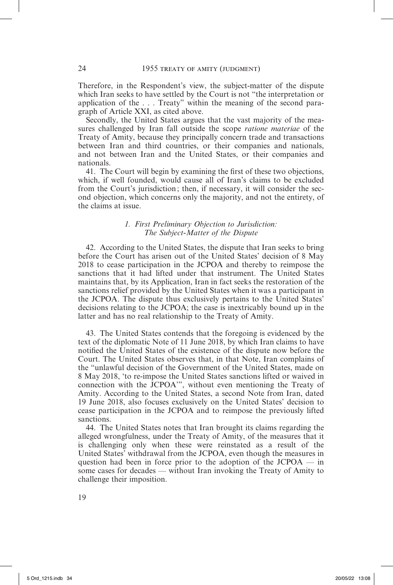Therefore, in the Respondent's view, the subject-matter of the dispute which Iran seeks to have settled by the Court is not "the interpretation or application of the . . . Treaty" within the meaning of the second paragraph of Article XXI, as cited above.

Secondly, the United States argues that the vast majority of the measures challenged by Iran fall outside the scope *ratione materiae* of the Treaty of Amity, because they principally concern trade and transactions between Iran and third countries, or their companies and nationals, and not between Iran and the United States, or their companies and nationals.

41. The Court will begin by examining the first of these two objections, which, if well founded, would cause all of Iran's claims to be excluded from the Court's jurisdiction; then, if necessary, it will consider the second objection, which concerns only the majority, and not the entirety, of the claims at issue.

#### *1. First Preliminary Objection to Jurisdiction: The Subject-Matter of the Dispute*

42. According to the United States, the dispute that Iran seeks to bring before the Court has arisen out of the United States' decision of 8 May 2018 to cease participation in the JCPOA and thereby to reimpose the sanctions that it had lifted under that instrument. The United States maintains that, by its Application, Iran in fact seeks the restoration of the sanctions relief provided by the United States when it was a participant in the JCPOA. The dispute thus exclusively pertains to the United States' decisions relating to the JCPOA; the case is inextricably bound up in the latter and has no real relationship to the Treaty of Amity.

43. The United States contends that the foregoing is evidenced by the text of the diplomatic Note of 11 June 2018, by which Iran claims to have notified the United States of the existence of the dispute now before the Court. The United States observes that, in that Note, Iran complains of the "unlawful decision of the Government of the United States, made on 8 May 2018, 'to re-impose the United States sanctions lifted or waived in connection with the JCPOA'", without even mentioning the Treaty of Amity. According to the United States, a second Note from Iran, dated 19 June 2018, also focuses exclusively on the United States' decision to cease participation in the JCPOA and to reimpose the previously lifted sanctions.

44. The United States notes that Iran brought its claims regarding the alleged wrongfulness, under the Treaty of Amity, of the measures that it is challenging only when these were reinstated as a result of the United States' withdrawal from the JCPOA, even though the measures in question had been in force prior to the adoption of the  $JCPOA$  — in some cases for decades — without Iran invoking the Treaty of Amity to challenge their imposition.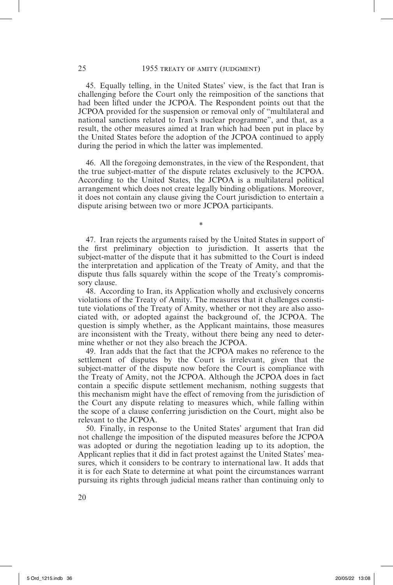45. Equally telling, in the United States' view, is the fact that Iran is challenging before the Court only the reimposition of the sanctions that had been lifted under the JCPOA. The Respondent points out that the JCPOA provided for the suspension or removal only of "multilateral and national sanctions related to Iran's nuclear programme", and that, as a result, the other measures aimed at Iran which had been put in place by the United States before the adoption of the JCPOA continued to apply during the period in which the latter was implemented.

46. All the foregoing demonstrates, in the view of the Respondent, that the true subject-matter of the dispute relates exclusively to the JCPOA. According to the United States, the JCPOA is a multilateral political arrangement which does not create legally binding obligations. Moreover, it does not contain any clause giving the Court jurisdiction to entertain a dispute arising between two or more JCPOA participants.

\*

47. Iran rejects the arguments raised by the United States in support of the first preliminary objection to jurisdiction. It asserts that the subject-matter of the dispute that it has submitted to the Court is indeed the interpretation and application of the Treaty of Amity, and that the dispute thus falls squarely within the scope of the Treaty's compromissory clause.

48. According to Iran, its Application wholly and exclusively concerns violations of the Treaty of Amity. The measures that it challenges constitute violations of the Treaty of Amity, whether or not they are also associated with, or adopted against the background of, the JCPOA. The question is simply whether, as the Applicant maintains, those measures are inconsistent with the Treaty, without there being any need to determine whether or not they also breach the JCPOA.

49. Iran adds that the fact that the JCPOA makes no reference to the settlement of disputes by the Court is irrelevant, given that the subject-matter of the dispute now before the Court is compliance with the Treaty of Amity, not the JCPOA. Although the JCPOA does in fact contain a specific dispute settlement mechanism, nothing suggests that this mechanism might have the effect of removing from the jurisdiction of the Court any dispute relating to measures which, while falling within the scope of a clause conferring jurisdiction on the Court, might also be relevant to the JCPOA.

50. Finally, in response to the United States' argument that Iran did not challenge the imposition of the disputed measures before the JCPOA was adopted or during the negotiation leading up to its adoption, the Applicant replies that it did in fact protest against the United States' measures, which it considers to be contrary to international law. It adds that it is for each State to determine at what point the circumstances warrant pursuing its rights through judicial means rather than continuing only to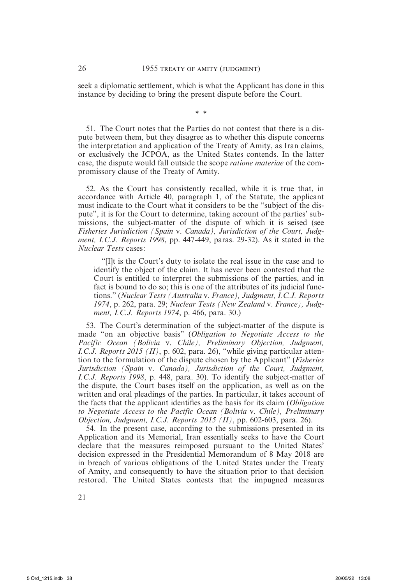seek a diplomatic settlement, which is what the Applicant has done in this instance by deciding to bring the present dispute before the Court.

\* \*

51. The Court notes that the Parties do not contest that there is a dispute between them, but they disagree as to whether this dispute concerns the interpretation and application of the Treaty of Amity, as Iran claims, or exclusively the JCPOA, as the United States contends. In the latter case, the dispute would fall outside the scope *ratione materiae* of the compromissory clause of the Treaty of Amity.

52. As the Court has consistently recalled, while it is true that, in accordance with Article 40, paragraph 1, of the Statute, the applicant must indicate to the Court what it considers to be the "subject of the dispute", it is for the Court to determine, taking account of the parties' submissions, the subject-matter of the dispute of which it is seised (see *Fisheries Jurisdiction (Spain* v. *Canada), Jurisdiction of the Court, Judgment, I.C.J. Reports 1998*, pp. 447-449, paras. 29-32). As it stated in the *Nuclear Tests* cases:

"[I]t is the Court's duty to isolate the real issue in the case and to identify the object of the claim. It has never been contested that the Court is entitled to interpret the submissions of the parties, and in fact is bound to do so; this is one of the attributes of its judicial functions." (*Nuclear Tests (Australia* v. *France), Judgment, I.C.J. Reports 1974*, p. 262, para. 29; *Nuclear Tests (New Zealand* v. *France), Judgment, I.C.J. Reports 1974*, p. 466, para. 30.)

53. The Court's determination of the subject-matter of the dispute is made "on an objective basis" (*Obligation to Negotiate Access to the Pacific Ocean (Bolivia* v. *Chile), Preliminary Objection, Judgment, I.C.J. Reports 2015 (II)*, p. 602, para. 26), "while giving particular attention to the formulation of the dispute chosen by the Applicant" (*Fisheries Jurisdiction (Spain* v. *Canada), Jurisdiction of the Court, Judgment, I.C.J. Reports 1998*, p. 448, para. 30). To identify the subject-matter of the dispute, the Court bases itself on the application, as well as on the written and oral pleadings of the parties. In particular, it takes account of the facts that the applicant identifies as the basis for its claim (*Obligation to Negotiate Access to the Pacific Ocean (Bolivia* v. *Chile), Preliminary Objection, Judgment, I.C.J. Reports 2015 (II)*, pp. 602-603, para. 26).

54. In the present case, according to the submissions presented in its Application and its Memorial, Iran essentially seeks to have the Court declare that the measures reimposed pursuant to the United States' decision expressed in the Presidential Memorandum of 8 May 2018 are in breach of various obligations of the United States under the Treaty of Amity, and consequently to have the situation prior to that decision restored. The United States contests that the impugned measures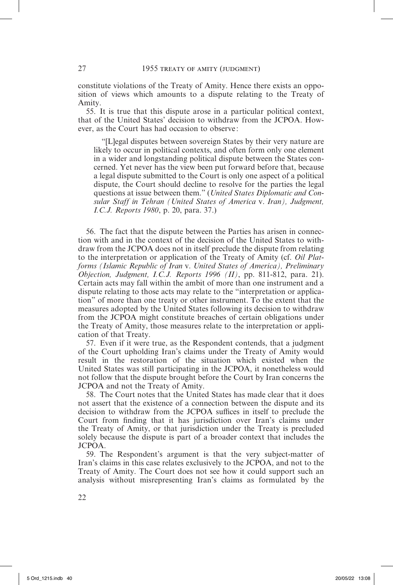constitute violations of the Treaty of Amity. Hence there exists an opposition of views which amounts to a dispute relating to the Treaty of Amity.

55. It is true that this dispute arose in a particular political context, that of the United States' decision to withdraw from the JCPOA. However, as the Court has had occasion to observe :

"[L]egal disputes between sovereign States by their very nature are likely to occur in political contexts, and often form only one element in a wider and longstanding political dispute between the States concerned. Yet never has the view been put forward before that, because a legal dispute submitted to the Court is only one aspect of a political dispute, the Court should decline to resolve for the parties the legal questions at issue between them." (*United States Diplomatic and Consular Staff in Tehran (United States of America* v. *Iran), Judgment, I.C.J. Reports 1980*, p. 20, para. 37.)

56. The fact that the dispute between the Parties has arisen in connection with and in the context of the decision of the United States to withdraw from the JCPOA does not in itself preclude the dispute from relating to the interpretation or application of the Treaty of Amity (cf. *Oil Platforms (Islamic Republic of Iran* v. *United States of America), Preliminary Objection, Judgment, I.C.J. Reports 1996 (II)*, pp. 811-812, para. 21). Certain acts may fall within the ambit of more than one instrument and a dispute relating to those acts may relate to the "interpretation or application" of more than one treaty or other instrument. To the extent that the measures adopted by the United States following its decision to withdraw from the JCPOA might constitute breaches of certain obligations under the Treaty of Amity, those measures relate to the interpretation or application of that Treaty.

57. Even if it were true, as the Respondent contends, that a judgment of the Court upholding Iran's claims under the Treaty of Amity would result in the restoration of the situation which existed when the United States was still participating in the JCPOA, it nonetheless would not follow that the dispute brought before the Court by Iran concerns the JCPOA and not the Treaty of Amity.

58. The Court notes that the United States has made clear that it does not assert that the existence of a connection between the dispute and its decision to withdraw from the JCPOA suffices in itself to preclude the Court from finding that it has jurisdiction over Iran's claims under the Treaty of Amity, or that jurisdiction under the Treaty is precluded solely because the dispute is part of a broader context that includes the JCPOA.

59. The Respondent's argument is that the very subject-matter of Iran's claims in this case relates exclusively to the JCPOA, and not to the Treaty of Amity. The Court does not see how it could support such an analysis without misrepresenting Iran's claims as formulated by the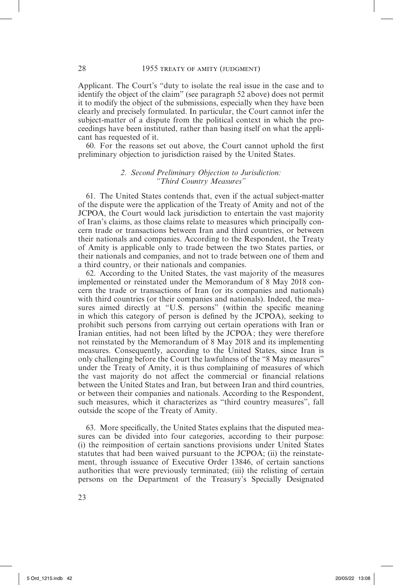Applicant. The Court's "duty to isolate the real issue in the case and to identify the object of the claim" (see paragraph 52 above) does not permit it to modify the object of the submissions, especially when they have been clearly and precisely formulated. In particular, the Court cannot infer the subject-matter of a dispute from the political context in which the proceedings have been instituted, rather than basing itself on what the applicant has requested of it.

60. For the reasons set out above, the Court cannot uphold the first preliminary objection to jurisdiction raised by the United States.

#### *2. Second Preliminary Objection to Jurisdiction: "Third Country Measures"*

61. The United States contends that, even if the actual subject-matter of the dispute were the application of the Treaty of Amity and not of the JCPOA, the Court would lack jurisdiction to entertain the vast majority of Iran's claims, as those claims relate to measures which principally concern trade or transactions between Iran and third countries, or between their nationals and companies. According to the Respondent, the Treaty of Amity is applicable only to trade between the two States parties, or their nationals and companies, and not to trade between one of them and a third country, or their nationals and companies.

62. According to the United States, the vast majority of the measures implemented or reinstated under the Memorandum of 8 May 2018 concern the trade or transactions of Iran (or its companies and nationals) with third countries (or their companies and nationals). Indeed, the measures aimed directly at "U.S. persons" (within the specific meaning in which this category of person is defined by the JCPOA), seeking to prohibit such persons from carrying out certain operations with Iran or Iranian entities, had not been lifted by the JCPOA; they were therefore not reinstated by the Memorandum of 8 May 2018 and its implementing measures. Consequently, according to the United States, since Iran is only challenging before the Court the lawfulness of the "8 May measures" under the Treaty of Amity, it is thus complaining of measures of which the vast majority do not affect the commercial or financial relations between the United States and Iran, but between Iran and third countries, or between their companies and nationals. According to the Respondent, such measures, which it characterizes as "third country measures", fall outside the scope of the Treaty of Amity.

63. More specifically, the United States explains that the disputed measures can be divided into four categories, according to their purpose: (i) the reimposition of certain sanctions provisions under United States statutes that had been waived pursuant to the JCPOA; (ii) the reinstatement, through issuance of Executive Order 13846, of certain sanctions authorities that were previously terminated; (iii) the relisting of certain persons on the Department of the Treasury's Specially Designated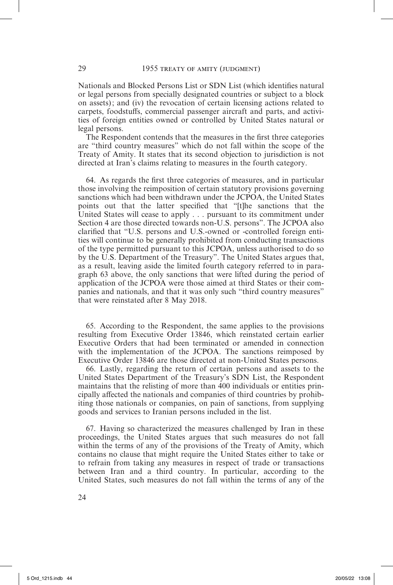Nationals and Blocked Persons List or SDN List (which identifies natural or legal persons from specially designated countries or subject to a block on assets); and (iv) the revocation of certain licensing actions related to carpets, foodstuffs, commercial passenger aircraft and parts, and activities of foreign entities owned or controlled by United States natural or legal persons.

The Respondent contends that the measures in the first three categories are "third country measures" which do not fall within the scope of the Treaty of Amity. It states that its second objection to jurisdiction is not directed at Iran's claims relating to measures in the fourth category.

64. As regards the first three categories of measures, and in particular those involving the reimposition of certain statutory provisions governing sanctions which had been withdrawn under the JCPOA, the United States points out that the latter specified that "[t]he sanctions that the United States will cease to apply . . . pursuant to its commitment under Section 4 are those directed towards non-U.S. persons". The JCPOA also clarified that "U.S. persons and U.S.-owned or -controlled foreign entities will continue to be generally prohibited from conducting transactions of the type permitted pursuant to this JCPOA, unless authorised to do so by the U.S. Department of the Treasury". The United States argues that, as a result, leaving aside the limited fourth category referred to in paragraph 63 above, the only sanctions that were lifted during the period of application of the JCPOA were those aimed at third States or their companies and nationals, and that it was only such "third country measures" that were reinstated after 8 May 2018.

65. According to the Respondent, the same applies to the provisions resulting from Executive Order 13846, which reinstated certain earlier Executive Orders that had been terminated or amended in connection with the implementation of the JCPOA. The sanctions reimposed by Executive Order 13846 are those directed at non-United States persons.

66. Lastly, regarding the return of certain persons and assets to the United States Department of the Treasury's SDN List, the Respondent maintains that the relisting of more than 400 individuals or entities principally affected the nationals and companies of third countries by prohibiting those nationals or companies, on pain of sanctions, from supplying goods and services to Iranian persons included in the list.

67. Having so characterized the measures challenged by Iran in these proceedings, the United States argues that such measures do not fall within the terms of any of the provisions of the Treaty of Amity, which contains no clause that might require the United States either to take or to refrain from taking any measures in respect of trade or transactions between Iran and a third country. In particular, according to the United States, such measures do not fall within the terms of any of the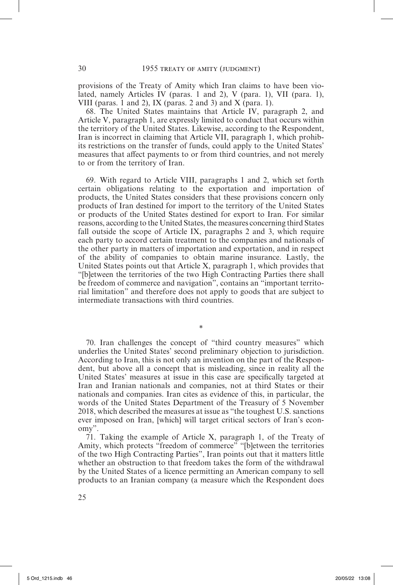provisions of the Treaty of Amity which Iran claims to have been violated, namely Articles IV (paras. 1 and 2), V (para. 1), VII (para. 1), VIII (paras. 1 and 2), IX (paras. 2 and 3) and  $X$  (para. 1).

68. The United States maintains that Article IV, paragraph 2, and Article V, paragraph 1, are expressly limited to conduct that occurs within the territory of the United States. Likewise, according to the Respondent, Iran is incorrect in claiming that Article VII, paragraph 1, which prohibits restrictions on the transfer of funds, could apply to the United States' measures that affect payments to or from third countries, and not merely to or from the territory of Iran.

69. With regard to Article VIII, paragraphs 1 and 2, which set forth certain obligations relating to the exportation and importation of products, the United States considers that these provisions concern only products of Iran destined for import to the territory of the United States or products of the United States destined for export to Iran. For similar reasons, according to the United States, the measures concerning third States fall outside the scope of Article IX, paragraphs 2 and 3, which require each party to accord certain treatment to the companies and nationals of the other party in matters of importation and exportation, and in respect of the ability of companies to obtain marine insurance. Lastly, the United States points out that Article X, paragraph 1, which provides that "[b]etween the territories of the two High Contracting Parties there shall be freedom of commerce and navigation", contains an "important territorial limitation" and therefore does not apply to goods that are subject to intermediate transactions with third countries.

70. Iran challenges the concept of "third country measures" which underlies the United States' second preliminary objection to jurisdiction. According to Iran, this is not only an invention on the part of the Respondent, but above all a concept that is misleading, since in reality all the United States' measures at issue in this case are specifically targeted at Iran and Iranian nationals and companies, not at third States or their nationals and companies. Iran cites as evidence of this, in particular, the words of the United States Department of the Treasury of 5 November 2018, which described the measures at issue as "the toughest U.S. sanctions ever imposed on Iran, [which] will target critical sectors of Iran's economy".

\*

71. Taking the example of Article X, paragraph 1, of the Treaty of Amity, which protects "freedom of commerce" "[b]etween the territories of the two High Contracting Parties", Iran points out that it matters little whether an obstruction to that freedom takes the form of the withdrawal by the United States of a licence permitting an American company to sell products to an Iranian company (a measure which the Respondent does

25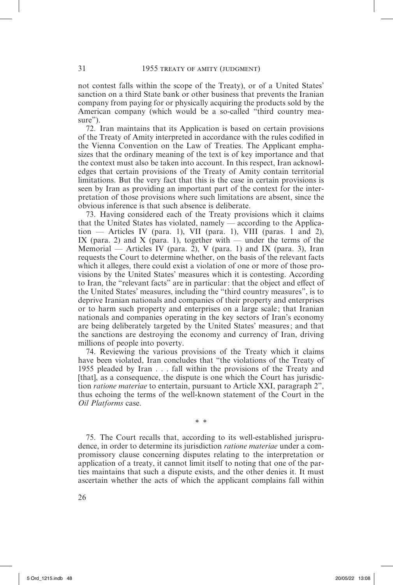not contest falls within the scope of the Treaty), or of a United States' sanction on a third State bank or other business that prevents the Iranian company from paying for or physically acquiring the products sold by the American company (which would be a so-called "third country measure").

72. Iran maintains that its Application is based on certain provisions of the Treaty of Amity interpreted in accordance with the rules codified in the Vienna Convention on the Law of Treaties. The Applicant emphasizes that the ordinary meaning of the text is of key importance and that the context must also be taken into account. In this respect, Iran acknowledges that certain provisions of the Treaty of Amity contain territorial limitations. But the very fact that this is the case in certain provisions is seen by Iran as providing an important part of the context for the interpretation of those provisions where such limitations are absent, since the obvious inference is that such absence is deliberate.

73. Having considered each of the Treaty provisions which it claims that the United States has violated, namely — according to the Application — Articles IV (para. 1), VII (para. 1), VIII (paras. 1 and 2), IX (para. 2) and X (para. 1), together with — under the terms of the Memorial — Articles IV (para. 2), V (para. 1) and IX (para. 3), Iran requests the Court to determine whether, on the basis of the relevant facts which it alleges, there could exist a violation of one or more of those provisions by the United States' measures which it is contesting. According to Iran, the "relevant facts" are in particular: that the object and effect of the United States' measures, including the "third country measures", is to deprive Iranian nationals and companies of their property and enterprises or to harm such property and enterprises on a large scale ; that Iranian nationals and companies operating in the key sectors of Iran's economy are being deliberately targeted by the United States' measures; and that the sanctions are destroying the economy and currency of Iran, driving millions of people into poverty.

74. Reviewing the various provisions of the Treaty which it claims have been violated, Iran concludes that "the violations of the Treaty of 1955 pleaded by Iran . . . fall within the provisions of the Treaty and [that], as a consequence, the dispute is one which the Court has jurisdiction *ratione materiae* to entertain, pursuant to Article XXI, paragraph 2", thus echoing the terms of the well-known statement of the Court in the *Oil Platforms* case.

\* \*

75. The Court recalls that, according to its well-established jurisprudence, in order to determine its jurisdiction *ratione materiae* under a compromissory clause concerning disputes relating to the interpretation or application of a treaty, it cannot limit itself to noting that one of the parties maintains that such a dispute exists, and the other denies it. It must ascertain whether the acts of which the applicant complains fall within

26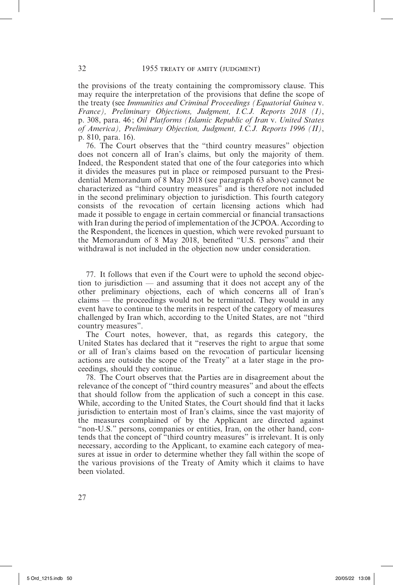the provisions of the treaty containing the compromissory clause. This may require the interpretation of the provisions that define the scope of the treaty (see *Immunities and Criminal Proceedings (Equatorial Guinea* v. *France), Preliminary Objections, Judgment, I.C.J. Reports 2018 (I)*, p. 308, para. 46; *Oil Platforms (Islamic Republic of Iran* v. *United States of America), Preliminary Objection, Judgment, I.C.J. Reports 1996 (II)*, p. 810, para. 16).

76. The Court observes that the "third country measures" objection does not concern all of Iran's claims, but only the majority of them. Indeed, the Respondent stated that one of the four categories into which it divides the measures put in place or reimposed pursuant to the Presidential Memorandum of 8 May 2018 (see paragraph 63 above) cannot be characterized as "third country measures" and is therefore not included in the second preliminary objection to jurisdiction. This fourth category consists of the revocation of certain licensing actions which had made it possible to engage in certain commercial or financial transactions with Iran during the period of implementation of the JCPOA. According to the Respondent, the licences in question, which were revoked pursuant to the Memorandum of 8 May 2018, benefited "U.S. persons" and their withdrawal is not included in the objection now under consideration.

77. It follows that even if the Court were to uphold the second objection to jurisdiction — and assuming that it does not accept any of the other preliminary objections, each of which concerns all of Iran's claims — the proceedings would not be terminated. They would in any event have to continue to the merits in respect of the category of measures challenged by Iran which, according to the United States, are not "third country measures".

The Court notes, however, that, as regards this category, the United States has declared that it "reserves the right to argue that some or all of Iran's claims based on the revocation of particular licensing actions are outside the scope of the Treaty" at a later stage in the proceedings, should they continue.

78. The Court observes that the Parties are in disagreement about the relevance of the concept of "third country measures" and about the effects that should follow from the application of such a concept in this case. While, according to the United States, the Court should find that it lacks jurisdiction to entertain most of Iran's claims, since the vast majority of the measures complained of by the Applicant are directed against "non-U.S." persons, companies or entities, Iran, on the other hand, contends that the concept of "third country measures" is irrelevant. It is only necessary, according to the Applicant, to examine each category of measures at issue in order to determine whether they fall within the scope of the various provisions of the Treaty of Amity which it claims to have been violated.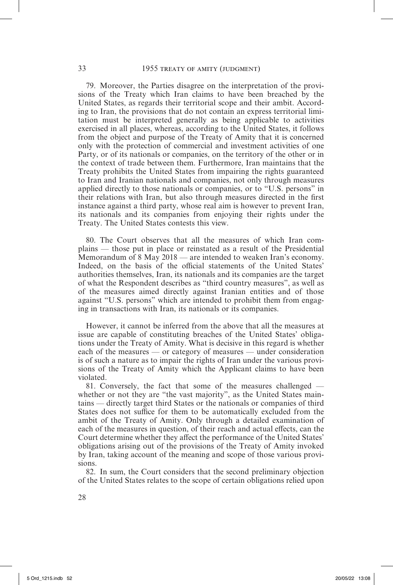79. Moreover, the Parties disagree on the interpretation of the provisions of the Treaty which Iran claims to have been breached by the United States, as regards their territorial scope and their ambit. According to Iran, the provisions that do not contain an express territorial limitation must be interpreted generally as being applicable to activities exercised in all places, whereas, according to the United States, it follows from the object and purpose of the Treaty of Amity that it is concerned only with the protection of commercial and investment activities of one Party, or of its nationals or companies, on the territory of the other or in the context of trade between them. Furthermore, Iran maintains that the Treaty prohibits the United States from impairing the rights guaranteed to Iran and Iranian nationals and companies, not only through measures applied directly to those nationals or companies, or to "U.S. persons" in their relations with Iran, but also through measures directed in the first instance against a third party, whose real aim is however to prevent Iran, its nationals and its companies from enjoying their rights under the Treaty. The United States contests this view.

80. The Court observes that all the measures of which Iran complains — those put in place or reinstated as a result of the Presidential Memorandum of 8 May 2018 — are intended to weaken Iran's economy. Indeed, on the basis of the official statements of the United States' authorities themselves, Iran, its nationals and its companies are the target of what the Respondent describes as "third country measures", as well as of the measures aimed directly against Iranian entities and of those against "U.S. persons" which are intended to prohibit them from engaging in transactions with Iran, its nationals or its companies.

However, it cannot be inferred from the above that all the measures at issue are capable of constituting breaches of the United States' obligations under the Treaty of Amity. What is decisive in this regard is whether each of the measures — or category of measures — under consideration is of such a nature as to impair the rights of Iran under the various provisions of the Treaty of Amity which the Applicant claims to have been violated.

81. Conversely, the fact that some of the measures challenged whether or not they are "the vast majority", as the United States maintains — directly target third States or the nationals or companies of third States does not suffice for them to be automatically excluded from the ambit of the Treaty of Amity. Only through a detailed examination of each of the measures in question, of their reach and actual effects, can the Court determine whether they affect the performance of the United States' obligations arising out of the provisions of the Treaty of Amity invoked by Iran, taking account of the meaning and scope of those various provisions.

82. In sum, the Court considers that the second preliminary objection of the United States relates to the scope of certain obligations relied upon

28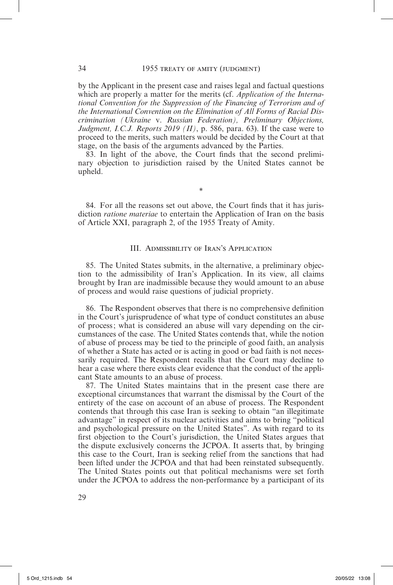by the Applicant in the present case and raises legal and factual questions which are properly a matter for the merits (cf. *Application of the International Convention for the Suppression of the Financing of Terrorism and of the International Convention on the Elimination of All Forms of Racial Discrimination (Ukraine* v. *Russian Federation), Preliminary Objections, Judgment, I.C.J. Reports 2019 (II)*, p. 586, para. 63). If the case were to proceed to the merits, such matters would be decided by the Court at that stage, on the basis of the arguments advanced by the Parties.

83. In light of the above, the Court finds that the second preliminary objection to jurisdiction raised by the United States cannot be upheld.

\*

84. For all the reasons set out above, the Court finds that it has jurisdiction *ratione materiae* to entertain the Application of Iran on the basis of Article XXI, paragraph 2, of the 1955 Treaty of Amity.

#### III. Admissibility of Iran's Application

85. The United States submits, in the alternative, a preliminary objection to the admissibility of Iran's Application. In its view, all claims brought by Iran are inadmissible because they would amount to an abuse of process and would raise questions of judicial propriety.

86. The Respondent observes that there is no comprehensive definition in the Court's jurisprudence of what type of conduct constitutes an abuse of process; what is considered an abuse will vary depending on the circumstances of the case. The United States contends that, while the notion of abuse of process may be tied to the principle of good faith, an analysis of whether a State has acted or is acting in good or bad faith is not necessarily required. The Respondent recalls that the Court may decline to hear a case where there exists clear evidence that the conduct of the applicant State amounts to an abuse of process.

87. The United States maintains that in the present case there are exceptional circumstances that warrant the dismissal by the Court of the entirety of the case on account of an abuse of process. The Respondent contends that through this case Iran is seeking to obtain "an illegitimate advantage" in respect of its nuclear activities and aims to bring "political and psychological pressure on the United States". As with regard to its first objection to the Court's jurisdiction, the United States argues that the dispute exclusively concerns the JCPOA. It asserts that, by bringing this case to the Court, Iran is seeking relief from the sanctions that had been lifted under the JCPOA and that had been reinstated subsequently. The United States points out that political mechanisms were set forth under the JCPOA to address the non-performance by a participant of its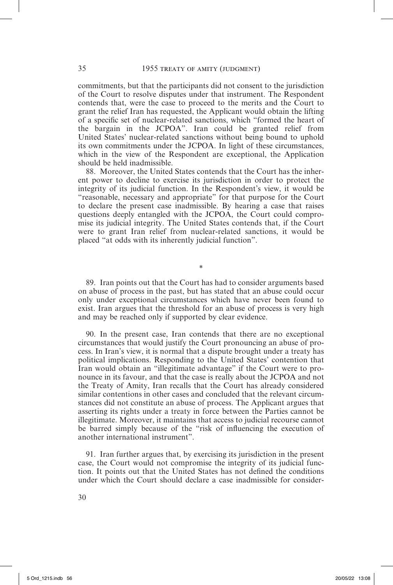commitments, but that the participants did not consent to the jurisdiction of the Court to resolve disputes under that instrument. The Respondent contends that, were the case to proceed to the merits and the Court to grant the relief Iran has requested, the Applicant would obtain the lifting of a specific set of nuclear-related sanctions, which "formed the heart of the bargain in the JCPOA". Iran could be granted relief from United States' nuclear-related sanctions without being bound to uphold its own commitments under the JCPOA. In light of these circumstances, which in the view of the Respondent are exceptional, the Application should be held inadmissible.

88. Moreover, the United States contends that the Court has the inherent power to decline to exercise its jurisdiction in order to protect the integrity of its judicial function. In the Respondent's view, it would be "reasonable, necessary and appropriate" for that purpose for the Court to declare the present case inadmissible. By hearing a case that raises questions deeply entangled with the JCPOA, the Court could compromise its judicial integrity. The United States contends that, if the Court were to grant Iran relief from nuclear-related sanctions, it would be placed "at odds with its inherently judicial function".

89. Iran points out that the Court has had to consider arguments based on abuse of process in the past, but has stated that an abuse could occur only under exceptional circumstances which have never been found to exist. Iran argues that the threshold for an abuse of process is very high and may be reached only if supported by clear evidence.

\*

90. In the present case, Iran contends that there are no exceptional circumstances that would justify the Court pronouncing an abuse of process. In Iran's view, it is normal that a dispute brought under a treaty has political implications. Responding to the United States' contention that Iran would obtain an "illegitimate advantage" if the Court were to pronounce in its favour, and that the case is really about the JCPOA and not the Treaty of Amity, Iran recalls that the Court has already considered similar contentions in other cases and concluded that the relevant circumstances did not constitute an abuse of process. The Applicant argues that asserting its rights under a treaty in force between the Parties cannot be illegitimate. Moreover, it maintains that access to judicial recourse cannot be barred simply because of the "risk of influencing the execution of another international instrument".

91. Iran further argues that, by exercising its jurisdiction in the present case, the Court would not compromise the integrity of its judicial function. It points out that the United States has not defined the conditions under which the Court should declare a case inadmissible for consider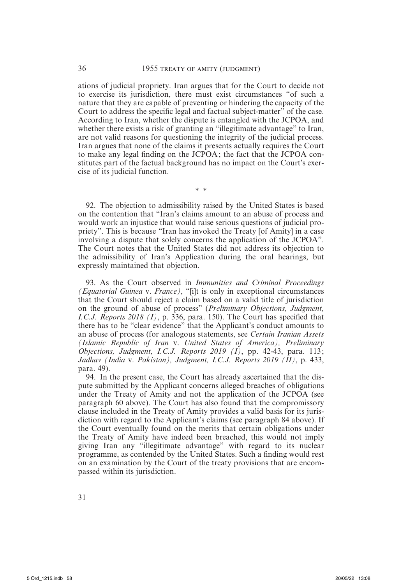ations of judicial propriety. Iran argues that for the Court to decide not to exercise its jurisdiction, there must exist circumstances "of such a nature that they are capable of preventing or hindering the capacity of the Court to address the specific legal and factual subject-matter" of the case. According to Iran, whether the dispute is entangled with the JCPOA, and whether there exists a risk of granting an "illegitimate advantage" to Iran, are not valid reasons for questioning the integrity of the judicial process. Iran argues that none of the claims it presents actually requires the Court to make any legal finding on the JCPOA; the fact that the JCPOA constitutes part of the factual background has no impact on the Court's exercise of its judicial function.

\* \*

92. The objection to admissibility raised by the United States is based on the contention that "Iran's claims amount to an abuse of process and would work an injustice that would raise serious questions of judicial propriety". This is because "Iran has invoked the Treaty [of Amity] in a case involving a dispute that solely concerns the application of the JCPOA". The Court notes that the United States did not address its objection to the admissibility of Iran's Application during the oral hearings, but expressly maintained that objection.

93. As the Court observed in *Immunities and Criminal Proceedings (Equatorial Guinea* v. *France)*, "[i]t is only in exceptional circumstances that the Court should reject a claim based on a valid title of jurisdiction on the ground of abuse of process" (*Preliminary Objections, Judgment, I.C.J. Reports 2018 (I)*, p. 336, para. 150). The Court has specified that there has to be "clear evidence" that the Applicant's conduct amounts to an abuse of process (for analogous statements, see *Certain Iranian Assets (Islamic Republic of Iran* v. *United States of America), Preliminary Objections, Judgment, I.C.J. Reports 2019 (I)*, pp. 42-43, para. 113; *Jadhav (India* v. *Pakistan), Judgment, I.C.J. Reports 2019 (II)*, p. 433, para. 49).

94. In the present case, the Court has already ascertained that the dispute submitted by the Applicant concerns alleged breaches of obligations under the Treaty of Amity and not the application of the JCPOA (see paragraph 60 above). The Court has also found that the compromissory clause included in the Treaty of Amity provides a valid basis for its jurisdiction with regard to the Applicant's claims (see paragraph 84 above). If the Court eventually found on the merits that certain obligations under the Treaty of Amity have indeed been breached, this would not imply giving Iran any "illegitimate advantage" with regard to its nuclear programme, as contended by the United States. Such a finding would rest on an examination by the Court of the treaty provisions that are encompassed within its jurisdiction.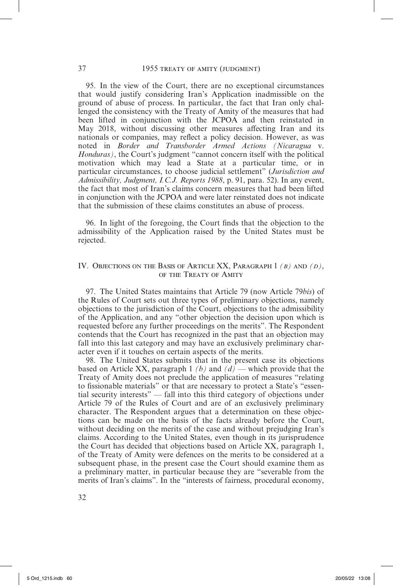95. In the view of the Court, there are no exceptional circumstances that would justify considering Iran's Application inadmissible on the ground of abuse of process. In particular, the fact that Iran only challenged the consistency with the Treaty of Amity of the measures that had been lifted in conjunction with the JCPOA and then reinstated in May 2018, without discussing other measures affecting Iran and its nationals or companies, may reflect a policy decision. However, as was noted in *Border and Transborder Armed Actions (Nicaragua* v. *Honduras)*, the Court's judgment "cannot concern itself with the political motivation which may lead a State at a particular time, or in particular circumstances, to choose judicial settlement" (*Jurisdiction and Admissibility, Judgment, I.C.J. Reports 1988*, p. 91, para. 52). In any event, the fact that most of Iran's claims concern measures that had been lifted in conjunction with the JCPOA and were later reinstated does not indicate that the submission of these claims constitutes an abuse of process.

96. In light of the foregoing, the Court finds that the objection to the admissibility of the Application raised by the United States must be rejected.

#### IV. Objections on the Basis of Article XX, Paragraph 1 *(b)* and *(d)*, of the Treaty of Amity

97. The United States maintains that Article 79 (now Article 79*bis*) of the Rules of Court sets out three types of preliminary objections, namely objections to the jurisdiction of the Court, objections to the admissibility of the Application, and any "other objection the decision upon which is requested before any further proceedings on the merits". The Respondent contends that the Court has recognized in the past that an objection may fall into this last category and may have an exclusively preliminary character even if it touches on certain aspects of the merits.

98. The United States submits that in the present case its objections based on Article XX, paragraph 1 *(b)* and *(d)* — which provide that the Treaty of Amity does not preclude the application of measures "relating to fissionable materials" or that are necessary to protect a State's "essential security interests" — fall into this third category of objections under Article 79 of the Rules of Court and are of an exclusively preliminary character. The Respondent argues that a determination on these objections can be made on the basis of the facts already before the Court, without deciding on the merits of the case and without prejudging Iran's claims. According to the United States, even though in its jurisprudence the Court has decided that objections based on Article XX, paragraph 1, of the Treaty of Amity were defences on the merits to be considered at a subsequent phase, in the present case the Court should examine them as a preliminary matter, in particular because they are "severable from the merits of Iran's claims". In the "interests of fairness, procedural economy,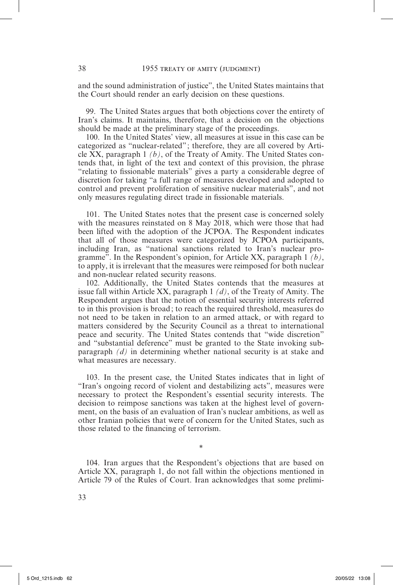and the sound administration of justice", the United States maintains that the Court should render an early decision on these questions.

99. The United States argues that both objections cover the entirety of Iran's claims. It maintains, therefore, that a decision on the objections should be made at the preliminary stage of the proceedings.

100. In the United States' view, all measures at issue in this case can be categorized as "nuclear-related"; therefore, they are all covered by Article XX, paragraph 1 *(b)*, of the Treaty of Amity. The United States contends that, in light of the text and context of this provision, the phrase "relating to fissionable materials" gives a party a considerable degree of discretion for taking "a full range of measures developed and adopted to control and prevent proliferation of sensitive nuclear materials", and not only measures regulating direct trade in fissionable materials.

101. The United States notes that the present case is concerned solely with the measures reinstated on 8 May 2018, which were those that had been lifted with the adoption of the JCPOA. The Respondent indicates that all of those measures were categorized by JCPOA participants, including Iran, as "national sanctions related to Iran's nuclear programme". In the Respondent's opinion, for Article XX, paragraph 1 *(b)*, to apply, it is irrelevant that the measures were reimposed for both nuclear and non-nuclear related security reasons.

102. Additionally, the United States contends that the measures at issue fall within Article XX, paragraph 1 *(d)*, of the Treaty of Amity. The Respondent argues that the notion of essential security interests referred to in this provision is broad; to reach the required threshold, measures do not need to be taken in relation to an armed attack, or with regard to matters considered by the Security Council as a threat to international peace and security. The United States contends that "wide discretion" and "substantial deference" must be granted to the State invoking subparagraph *(d)* in determining whether national security is at stake and what measures are necessary.

103. In the present case, the United States indicates that in light of "Iran's ongoing record of violent and destabilizing acts", measures were necessary to protect the Respondent's essential security interests. The decision to reimpose sanctions was taken at the highest level of government, on the basis of an evaluation of Iran's nuclear ambitions, as well as other Iranian policies that were of concern for the United States, such as those related to the financing of terrorism.

104. Iran argues that the Respondent's objections that are based on Article XX, paragraph 1, do not fall within the objections mentioned in Article 79 of the Rules of Court. Iran acknowledges that some prelimi-

\*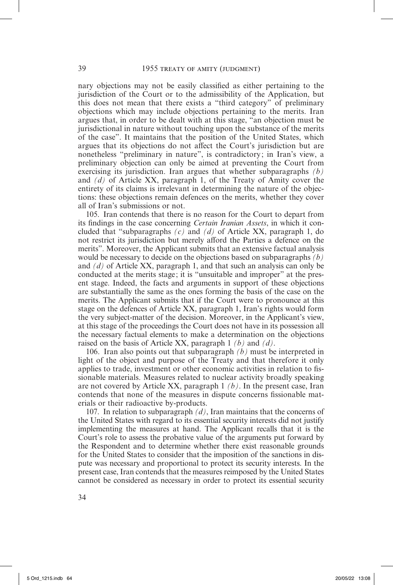nary objections may not be easily classified as either pertaining to the jurisdiction of the Court or to the admissibility of the Application, but this does not mean that there exists a "third category" of preliminary objections which may include objections pertaining to the merits. Iran argues that, in order to be dealt with at this stage, "an objection must be jurisdictional in nature without touching upon the substance of the merits of the case". It maintains that the position of the United States, which argues that its objections do not affect the Court's jurisdiction but are nonetheless "preliminary in nature", is contradictory; in Iran's view, a preliminary objection can only be aimed at preventing the Court from exercising its jurisdiction. Iran argues that whether subparagraphs *(b)* and *(d)* of Article XX, paragraph 1, of the Treaty of Amity cover the entirety of its claims is irrelevant in determining the nature of the objections: these objections remain defences on the merits, whether they cover all of Iran's submissions or not.

105. Iran contends that there is no reason for the Court to depart from its findings in the case concerning *Certain Iranian Assets*, in which it concluded that "subparagraphs *(c)* and *(d)* of Article XX, paragraph 1, do not restrict its jurisdiction but merely afford the Parties a defence on the merits". Moreover, the Applicant submits that an extensive factual analysis would be necessary to decide on the objections based on subparagraphs *(b)* and *(d)* of Article XX, paragraph 1, and that such an analysis can only be conducted at the merits stage; it is "unsuitable and improper" at the present stage. Indeed, the facts and arguments in support of these objections are substantially the same as the ones forming the basis of the case on the merits. The Applicant submits that if the Court were to pronounce at this stage on the defences of Article XX, paragraph 1, Iran's rights would form the very subject-matter of the decision. Moreover, in the Applicant's view, at this stage of the proceedings the Court does not have in its possession all the necessary factual elements to make a determination on the objections raised on the basis of Article XX, paragraph 1 *(b)* and *(d)*.

106. Iran also points out that subparagraph *(b)* must be interpreted in light of the object and purpose of the Treaty and that therefore it only applies to trade, investment or other economic activities in relation to fissionable materials. Measures related to nuclear activity broadly speaking are not covered by Article XX, paragraph 1 *(b)*. In the present case, Iran contends that none of the measures in dispute concerns fissionable materials or their radioactive by-products.

107. In relation to subparagraph *(d)*, Iran maintains that the concerns of the United States with regard to its essential security interests did not justify implementing the measures at hand. The Applicant recalls that it is the Court's role to assess the probative value of the arguments put forward by the Respondent and to determine whether there exist reasonable grounds for the United States to consider that the imposition of the sanctions in dispute was necessary and proportional to protect its security interests. In the present case, Iran contends that the measures reimposed by the United States cannot be considered as necessary in order to protect its essential security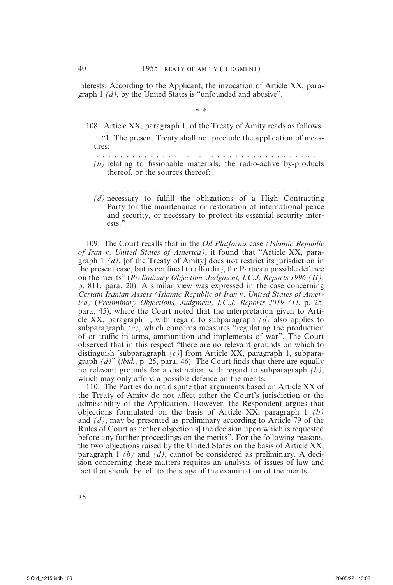interests. According to the Applicant, the invocation of Article XX, paragraph 1 *(d)*, by the United States is "unfounded and abusive".

\* \*

108. Article XX, paragraph 1, of the Treaty of Amity reads as follows:

"1. The present Treaty shall not preclude the application of measures:

 . . . . . . . . . . . . . . . . . . . . . . . . . . . . . . . . . . . . . . *(b)* relating to fissionable materials, the radio-active by-products thereof, or the sources thereof;

 . . . . . . . . . . . . . . . . . . . . . . . . . . . . . . . . . . . . . . *(d)* necessary to fulfill the obligations of a High Contracting Party for the maintenance or restoration of international peace and security, or necessary to protect its essential security interests."

109. The Court recalls that in the *Oil Platforms* case *(Islamic Republic of Iran* v. *United States of America)*, it found that "Article XX, paragraph 1 *(d)*, [of the Treaty of Amity] does not restrict its jurisdiction in the present case, but is confined to affording the Parties a possible defence on the merits" (*Preliminary Objection, Judgment, I.C.J. Reports 1996 (II)*, p. 811, para. 20). A similar view was expressed in the case concerning *Certain Iranian Assets (Islamic Republic of Iran* v. *United States of America)* (*Preliminary Objections, Judgment, I.C.J. Reports 2019 (I)*, p. 25, para. 45), where the Court noted that the interpretation given to Article XX, paragraph 1, with regard to subparagraph *(d)* also applies to subparagraph *(c)*, which concerns measures "regulating the production of or traffic in arms, ammunition and implements of war". The Court observed that in this respect "there are no relevant grounds on which to distinguish [subparagraph *(c)*] from Article XX, paragraph 1, subparagraph *(d)*" (*ibid.*, p. 25, para. 46). The Court finds that there are equally no relevant grounds for a distinction with regard to subparagraph *(b)*, which may only afford a possible defence on the merits.

110. The Parties do not dispute that arguments based on Article XX of the Treaty of Amity do not affect either the Court's jurisdiction or the admissibility of the Application. However, the Respondent argues that objections formulated on the basis of Article XX, paragraph 1 *(b)* and *(d)*, may be presented as preliminary according to Article 79 of the Rules of Court as "other objection[s] the decision upon which is requested before any further proceedings on the merits". For the following reasons, the two objections raised by the United States on the basis of Article XX, paragraph 1 *(b)* and *(d)*, cannot be considered as preliminary. A decision concerning these matters requires an analysis of issues of law and fact that should be left to the stage of the examination of the merits.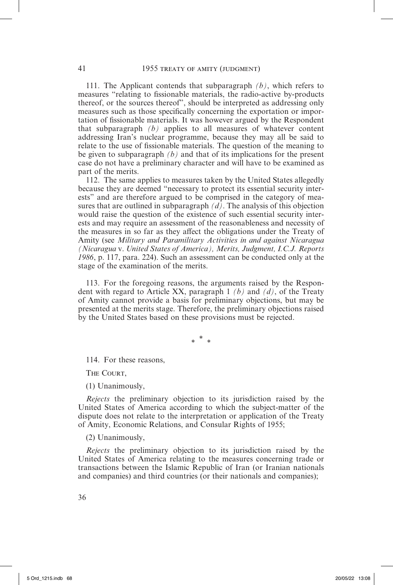111. The Applicant contends that subparagraph *(b)*, which refers to measures "relating to fissionable materials, the radio-active by-products thereof, or the sources thereof", should be interpreted as addressing only measures such as those specifically concerning the exportation or importation of fissionable materials. It was however argued by the Respondent that subparagraph *(b)* applies to all measures of whatever content addressing Iran's nuclear programme, because they may all be said to relate to the use of fissionable materials. The question of the meaning to be given to subparagraph *(b)* and that of its implications for the present case do not have a preliminary character and will have to be examined as part of the merits.

112. The same applies to measures taken by the United States allegedly because they are deemed "necessary to protect its essential security interests" and are therefore argued to be comprised in the category of measures that are outlined in subparagraph  $(d)$ . The analysis of this objection would raise the question of the existence of such essential security interests and may require an assessment of the reasonableness and necessity of the measures in so far as they affect the obligations under the Treaty of Amity (see *Military and Paramilitary Activities in and against Nicaragua (Nicaragua* v. *United States of America), Merits, Judgment, I.C.J. Reports 1986*, p. 117, para. 224). Such an assessment can be conducted only at the stage of the examination of the merits.

113. For the foregoing reasons, the arguments raised by the Respondent with regard to Article XX, paragraph 1 *(b)* and *(d)*, of the Treaty of Amity cannot provide a basis for preliminary objections, but may be presented at the merits stage. Therefore, the preliminary objections raised by the United States based on these provisions must be rejected.

\* \* \*

114. For these reasons,

The Court,

(1) Unanimously,

*Rejects* the preliminary objection to its jurisdiction raised by the United States of America according to which the subject-matter of the dispute does not relate to the interpretation or application of the Treaty of Amity, Economic Relations, and Consular Rights of 1955;

#### (2) Unanimously,

*Rejects* the preliminary objection to its jurisdiction raised by the United States of America relating to the measures concerning trade or transactions between the Islamic Republic of Iran (or Iranian nationals and companies) and third countries (or their nationals and companies);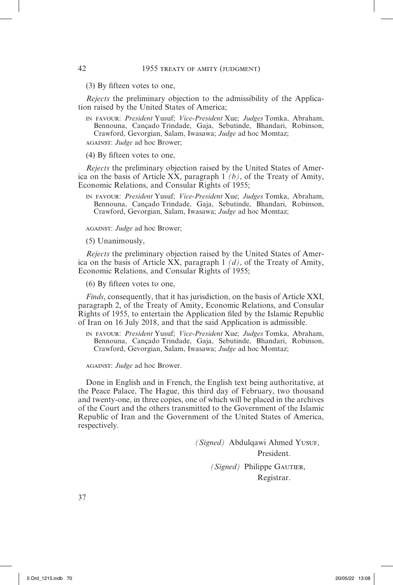(3) By fifteen votes to one,

*Rejects* the preliminary objection to the admissibility of the Application raised by the United States of America;

in favour: *President* Yusuf; *Vice-President* Xue; *Judges* Tomka, Abraham, Bennouna, Cançado Trindade, Gaja, Sebutinde, Bhandari, Robinson, Crawford, Gevorgian, Salam, Iwasawa; *Judge* ad hoc Momtaz;

against: *Judge* ad hoc Brower;

(4) By fifteen votes to one,

*Rejects* the preliminary objection raised by the United States of America on the basis of Article XX, paragraph 1 *(b)*, of the Treaty of Amity, Economic Relations, and Consular Rights of 1955;

in favour: *President* Yusuf; *Vice-President* Xue; *Judges* Tomka, Abraham, Bennouna, Cançado Trindade, Gaja, Sebutinde, Bhandari, Robinson, Crawford, Gevorgian, Salam, Iwasawa; *Judge* ad hoc Momtaz;

against: *Judge* ad hoc Brower;

(5) Unanimously,

*Rejects* the preliminary objection raised by the United States of America on the basis of Article XX, paragraph 1 *(d)*, of the Treaty of Amity, Economic Relations, and Consular Rights of 1955;

(6) By fifteen votes to one,

*Finds*, consequently, that it has jurisdiction, on the basis of Article XXI, paragraph 2, of the Treaty of Amity, Economic Relations, and Consular Rights of 1955, to entertain the Application filed by the Islamic Republic of Iran on 16 July 2018, and that the said Application is admissible.

in favour: *President* Yusuf; *Vice-President* Xue; *Judges* Tomka, Abraham, Bennouna, Cançado Trindade, Gaja, Sebutinde, Bhandari, Robinson, Crawford, Gevorgian, Salam, Iwasawa; *Judge* ad hoc Momtaz;

against: *Judge* ad hoc Brower.

Done in English and in French, the English text being authoritative, at the Peace Palace, The Hague, this third day of February, two thousand and twenty-one, in three copies, one of which will be placed in the archives of the Court and the others transmitted to the Government of the Islamic Republic of Iran and the Government of the United States of America, respectively.

> *(Signed)* Abdulqawi Ahmed YUSUF, President. *(Signed)* Philippe GAUTIER, Registrar.